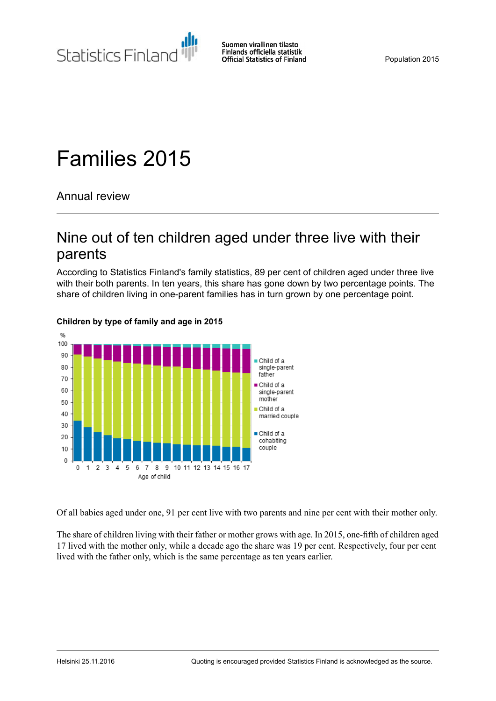Statistics Finland

Suomen virallinen tilasto Finlands officiella statistik **Official Statistics of Finland** 

Population 2015

# Families 2015

Annual review

## Nine out of ten children aged under three live with their parents

According to Statistics Finland's family statistics, 89 per cent of children aged under three live with their both parents. In ten years, this share has gone down by two percentage points. The share of children living in one-parent families has in turn grown by one percentage point.



#### **Children by type of family and age in 2015**

Of all babies aged under one, 91 per cent live with two parents and nine per cent with their mother only.

The share of children living with their father or mother grows with age. In 2015, one-fifth of children aged 17 lived with the mother only, while a decade ago the share was 19 per cent. Respectively, four per cent lived with the father only, which is the same percentage as ten years earlier.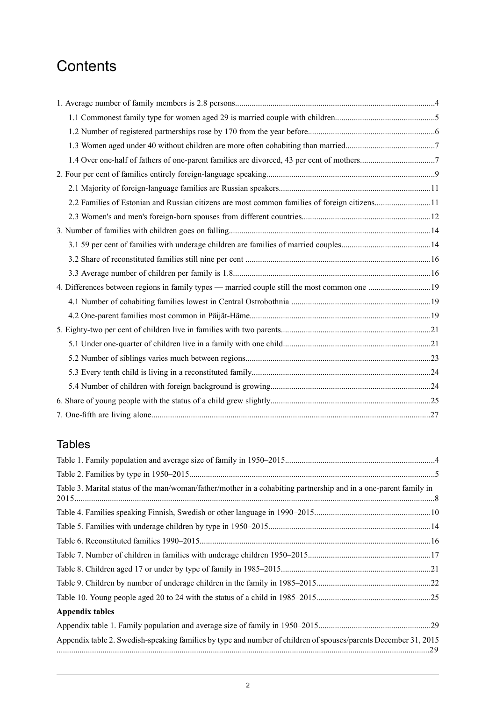## **Contents**

| 2.2 Families of Estonian and Russian citizens are most common families of foreign citizens11 |  |
|----------------------------------------------------------------------------------------------|--|
|                                                                                              |  |
|                                                                                              |  |
|                                                                                              |  |
|                                                                                              |  |
|                                                                                              |  |
| 4. Differences between regions in family types — married couple still the most common one 19 |  |
|                                                                                              |  |
|                                                                                              |  |
|                                                                                              |  |
|                                                                                              |  |
|                                                                                              |  |
|                                                                                              |  |
|                                                                                              |  |
|                                                                                              |  |
|                                                                                              |  |

## **Tables**

| Table 3. Marital status of the man/woman/father/mother in a cohabiting partnership and in a one-parent family in |  |
|------------------------------------------------------------------------------------------------------------------|--|
|                                                                                                                  |  |
|                                                                                                                  |  |
|                                                                                                                  |  |
|                                                                                                                  |  |
|                                                                                                                  |  |
|                                                                                                                  |  |
|                                                                                                                  |  |
| <b>Appendix tables</b>                                                                                           |  |
|                                                                                                                  |  |
| Appendix table 2. Swedish-speaking families by type and number of children of spouses/parents December 31, 2015  |  |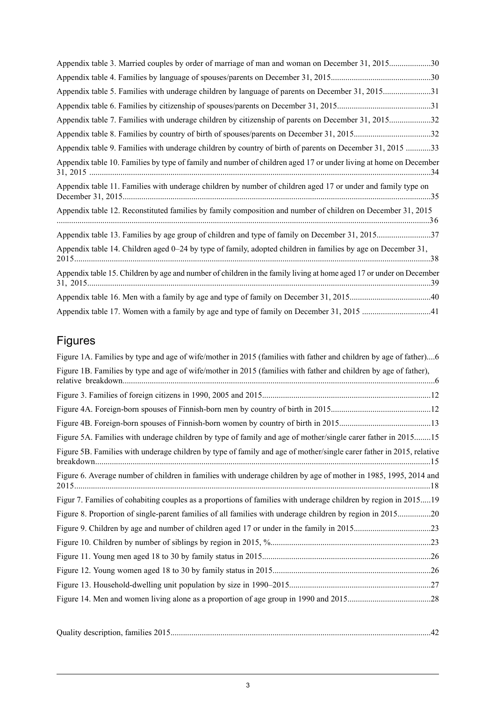| Appendix table 3. Married couples by order of marriage of man and woman on December 31, 201530                      |  |
|---------------------------------------------------------------------------------------------------------------------|--|
|                                                                                                                     |  |
| Appendix table 5. Families with underage children by language of parents on December 31, 201531                     |  |
|                                                                                                                     |  |
| Appendix table 7. Families with underage children by citizenship of parents on December 31, 201532                  |  |
|                                                                                                                     |  |
| Appendix table 9. Families with underage children by country of birth of parents on December 31, 2015 33            |  |
| Appendix table 10. Families by type of family and number of children aged 17 or under living at home on December    |  |
| Appendix table 11. Families with underage children by number of children aged 17 or under and family type on        |  |
| Appendix table 12. Reconstituted families by family composition and number of children on December 31, 2015         |  |
| Appendix table 13. Families by age group of children and type of family on December 31, 201537                      |  |
| Appendix table 14. Children aged 0–24 by type of family, adopted children in families by age on December 31,        |  |
| Appendix table 15. Children by age and number of children in the family living at home aged 17 or under on December |  |
|                                                                                                                     |  |
|                                                                                                                     |  |

## Figures

| Figure 1A. Families by type and age of wife/mother in 2015 (families with father and children by age of father)6     |  |
|----------------------------------------------------------------------------------------------------------------------|--|
| Figure 1B. Families by type and age of wife/mother in 2015 (families with father and children by age of father),     |  |
|                                                                                                                      |  |
|                                                                                                                      |  |
|                                                                                                                      |  |
| Figure 5A. Families with underage children by type of family and age of mother/single carer father in 201515         |  |
| Figure 5B. Families with underage children by type of family and age of mother/single carer father in 2015, relative |  |
| Figure 6. Average number of children in families with underage children by age of mother in 1985, 1995, 2014 and     |  |
| Figur 7. Families of cohabiting couples as a proportions of families with underage children by region in 201519      |  |
| Figure 8. Proportion of single-parent families of all families with underage children by region in 201520            |  |
|                                                                                                                      |  |
|                                                                                                                      |  |
|                                                                                                                      |  |
|                                                                                                                      |  |
|                                                                                                                      |  |
|                                                                                                                      |  |
|                                                                                                                      |  |

|--|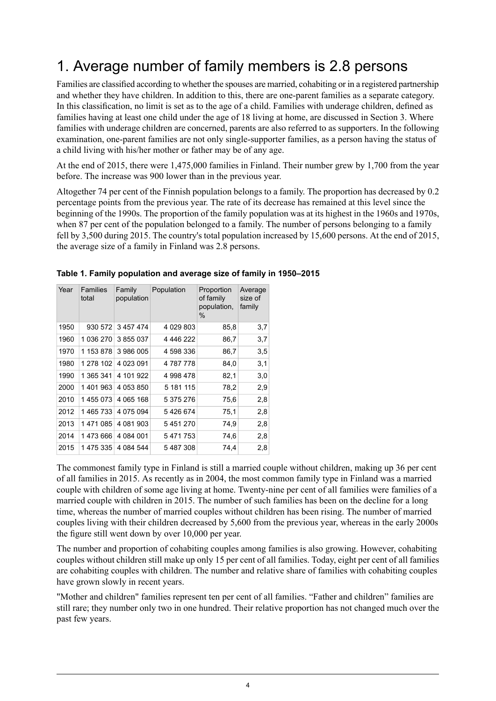## <span id="page-3-0"></span>1. Average number of family members is 2.8 persons

Families are classified according to whether the spouses are married, cohabiting or in a registered partnership and whether they have children. In addition to this, there are one-parent families as a separate category. In this classification, no limit is set as to the age of a child. Families with underage children, defined as families having at least one child under the age of 18 living at home, are discussed in Section 3. Where families with underage children are concerned, parents are also referred to as supporters. In the following examination, one-parent families are not only single-supporter families, as a person having the status of a child living with his/her mother or father may be of any age.

At the end of 2015, there were 1,475,000 families in Finland. Their number grew by 1,700 from the year before. The increase was 900 lower than in the previous year.

Altogether 74 per cent of the Finnish population belongs to a family. The proportion has decreased by 0.2 percentage points from the previous year. The rate of its decrease has remained at this level since the beginning of the 1990s. The proportion of the family population was at its highest in the 1960s and 1970s, when 87 per cent of the population belonged to a family. The number of persons belonging to a family fell by 3,500 during 2015. The country's total population increased by 15,600 persons. At the end of 2015, the average size of a family in Finland was 2.8 persons.

| Year | Families<br>total | Family<br>population | Population | Proportion<br>of family<br>population,<br>% | Average<br>size of<br>family |
|------|-------------------|----------------------|------------|---------------------------------------------|------------------------------|
| 1950 | 930 572           | 3 457 474            | 4 029 803  | 85,8                                        | 3,7                          |
| 1960 | 1 036 270         | 3 855 037            | 4 446 222  | 86,7                                        | 3,7                          |
| 1970 | 1 153 878         | 3986005              | 4 598 336  | 86,7                                        | 3,5                          |
| 1980 | 1 278 102         | 4 023 091            | 4787778    | 84,0                                        | 3,1                          |
| 1990 | 1 365 341         | 4 101 922            | 4998478    | 82,1                                        | 3,0                          |
| 2000 | 1 401 963         | 4 053 850            | 5 181 115  | 78,2                                        | 2,9                          |
| 2010 | 1455073           | 4 065 168            | 5 375 276  | 75,6                                        | 2,8                          |
| 2012 | 1465733           | 4 0 7 5 0 9 4        | 5426674    | 75,1                                        | 2,8                          |
| 2013 | 1471085           | 4 081 903            | 5451270    | 74,9                                        | 2,8                          |
| 2014 | 1473666           | 4 084 001            | 5471753    | 74,6                                        | 2,8                          |
| 2015 | 1 475 335         | 4 0 84 5 44          | 5487308    | 74.4                                        | 2,8                          |

#### <span id="page-3-1"></span>**Table 1. Family population and average size of family in 1950–2015**

The commonest family type in Finland is still a married couple without children, making up 36 per cent of all families in 2015. As recently as in 2004, the most common family type in Finland was a married couple with children of some age living at home. Twenty-nine per cent of all families were families of a married couple with children in 2015. The number of such families has been on the decline for a long time, whereas the number of married couples without children has been rising. The number of married couples living with their children decreased by 5,600 from the previous year, whereas in the early 2000s the figure still went down by over 10,000 per year.

The number and proportion of cohabiting couples among families is also growing. However, cohabiting couples without children still make up only 15 per cent of all families. Today, eight per cent of all families are cohabiting couples with children. The number and relative share of families with cohabiting couples have grown slowly in recent years.

"Mother and children" families represent ten per cent of all families. "Father and children" families are still rare; they number only two in one hundred. Their relative proportion has not changed much over the past few years.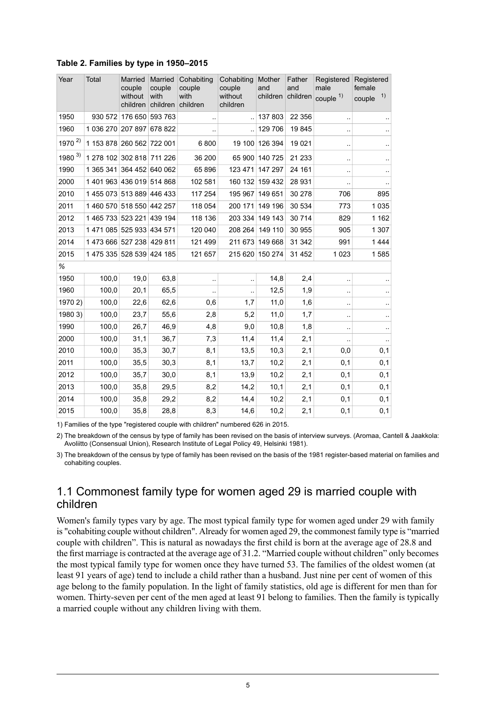| Year       | Total                     | Married<br>couple<br>without<br>children | Married<br>couple<br>with<br>children | Cohabiting<br>couple<br>with<br>children | Cohabiting<br>couple<br>without<br>children | Mother<br>and<br>children | Father<br>and<br>children | Registered<br>male<br>couple <sup>1)</sup> | Registered<br>female<br>1)<br>couple |
|------------|---------------------------|------------------------------------------|---------------------------------------|------------------------------------------|---------------------------------------------|---------------------------|---------------------------|--------------------------------------------|--------------------------------------|
| 1950       | 930 572                   | 176 650 593 763                          |                                       | $\ddotsc$                                |                                             | 137 803                   | 22 3 5 6                  |                                            |                                      |
| 1960       | 1 036 270 207 897         |                                          | 678 822                               | ٠.                                       |                                             | 129 706                   | 19845                     | ٠.                                         | $\sim$                               |
| $1970^{2}$ | 1 153 878 260 562 722 001 |                                          |                                       | 6800                                     | 19 100                                      | 126 394                   | 19 0 21                   |                                            | $\ddot{\phantom{a}}$                 |
| 1980 $3)$  | 1 278 102 302 818         |                                          | 711 226                               | 36 200                                   | 65 900                                      | 140 725                   | 21 2 3 3                  | ٠.                                         | $\cdot$                              |
| 1990       | 1 365 341 364 452 640 062 |                                          |                                       | 65896                                    | 123 471                                     | 147 297                   | 24 161                    |                                            | $\cdot$                              |
| 2000       | 1 401 963 436 019 514 868 |                                          |                                       | 102 581                                  | 160 132                                     | 159 432                   | 28 931                    | μ.                                         | $\ddot{\phantom{1}}$                 |
| 2010       | 1455 073 513 889          |                                          | 446 433                               | 117 254                                  | 195 967                                     | 149 651                   | 30 278                    | 706                                        | 895                                  |
| 2011       | 1 460 570 518 550 442 257 |                                          |                                       | 118 054                                  | 200 171                                     | 149 196                   | 30 534                    | 773                                        | 1 0 3 5                              |
| 2012       | 1 465 733 523 221 439 194 |                                          |                                       | 118 136                                  | 203 334                                     | 149 143                   | 30 714                    | 829                                        | 1 1 6 2                              |
| 2013       | 1 471 085 525 933 434 571 |                                          |                                       | 120 040                                  | 208 264                                     | 149 110                   | 30 955                    | 905                                        | 1 307                                |
| 2014       | 1473 666 527 238          |                                          | 429 811                               | 121 499                                  | 211 673                                     | 149 668                   | 31 342                    | 991                                        | 1444                                 |
| 2015       | 1 475 335 528 539 424 185 |                                          |                                       | 121 657                                  | 215 620                                     | 150 274                   | 31 452                    | 1 0 2 3                                    | 1585                                 |
| %          |                           |                                          |                                       |                                          |                                             |                           |                           |                                            |                                      |
| 1950       | 100,0                     | 19,0                                     | 63,8                                  | $\sim$ $\sim$                            | Ω.                                          | 14,8                      | 2,4                       | ٠.                                         | $\ddotsc$                            |
| 1960       | 100,0                     | 20,1                                     | 65,5                                  |                                          |                                             | 12,5                      | 1,9                       | ٠.                                         | $\ddotsc$                            |
| 1970 2)    | 100,0                     | 22,6                                     | 62,6                                  | 0,6                                      | 1,7                                         | 11,0                      | 1,6                       | .,                                         | $\ddot{\phantom{1}}$                 |
| 1980 3)    | 100,0                     | 23,7                                     | 55,6                                  | 2,8                                      | 5,2                                         | 11,0                      | 1,7                       | ٠.                                         | $\cdot$                              |
| 1990       | 100,0                     | 26,7                                     | 46,9                                  | 4,8                                      | 9,0                                         | 10,8                      | 1,8                       | ٠.                                         | $\sim$                               |
| 2000       | 100,0                     | 31,1                                     | 36,7                                  | 7,3                                      | 11,4                                        | 11,4                      | 2,1                       | μ.                                         | $\ddotsc$                            |
| 2010       | 100,0                     | 35,3                                     | 30,7                                  | 8,1                                      | 13,5                                        | 10,3                      | 2,1                       | 0,0                                        | 0,1                                  |
| 2011       | 100,0                     | 35,5                                     | 30,3                                  | 8,1                                      | 13,7                                        | 10,2                      | 2,1                       | 0,1                                        | 0,1                                  |
| 2012       | 100,0                     | 35,7                                     | 30,0                                  | 8,1                                      | 13,9                                        | 10,2                      | 2,1                       | 0,1                                        | 0,1                                  |
| 2013       | 100,0                     | 35,8                                     | 29,5                                  | 8,2                                      | 14,2                                        | 10,1                      | 2,1                       | 0,1                                        | 0,1                                  |
| 2014       | 100,0                     | 35,8                                     | 29,2                                  | 8,2                                      | 14,4                                        | 10,2                      | 2,1                       | 0,1                                        | 0,1                                  |
| 2015       | 100,0                     | 35,8                                     | 28,8                                  | 8,3                                      | 14,6                                        | 10,2                      | 2,1                       | 0,1                                        | 0,1                                  |

#### <span id="page-4-1"></span>**Table 2. Families by type in 1950–2015**

1) Families of the type "registered couple with children" numbered 626 in 2015.

<span id="page-4-0"></span>The breakdown of the census by type of family has been revised on the basis of interview surveys. (Aromaa, Cantell & Jaakkola: 2) Avoliitto (Consensual Union), Research Institute of Legal Policy 49, Helsinki 1981).

3) The breakdown of the census by type of family has been revised on the basis of the 1981 register-based material on families and cohabiting couples.

#### 1.1 Commonest family type for women aged 29 is married couple with children

Women's family types vary by age. The most typical family type for women aged under 29 with family is "cohabiting couple without children". Already for women aged 29, the commonest family type is "married couple with children". This is natural as nowadays the first child is born at the average age of 28.8 and the first marriage is contracted at the average age of 31.2. "Married couple without children" only becomes the most typical family type for women once they have turned 53. The families of the oldest women (at least 91 years of age) tend to include a child rather than a husband. Just nine per cent of women of this age belong to the family population. In the light of family statistics, old age is different for men than for women. Thirty-seven per cent of the men aged at least 91 belong to families. Then the family is typically a married couple without any children living with them.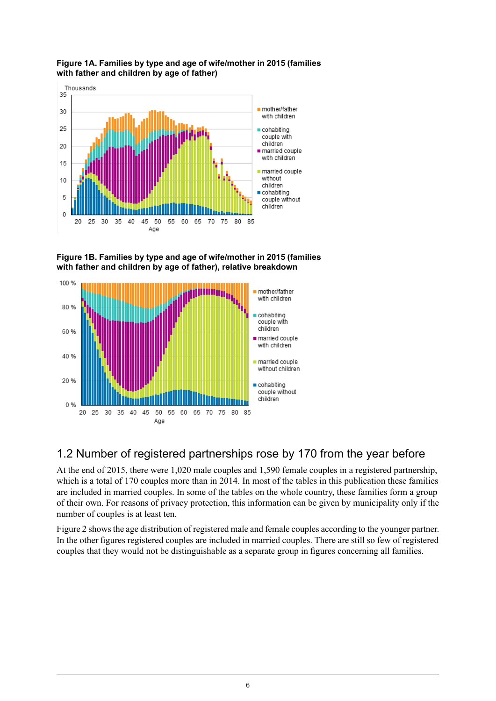<span id="page-5-1"></span>



<span id="page-5-2"></span>**Figure 1B. Families by type and age of wife/mother in 2015 (families with father and children by age of father), relative breakdown**



## <span id="page-5-0"></span>1.2 Number of registered partnerships rose by 170 from the year before

At the end of 2015, there were 1,020 male couples and 1,590 female couples in a registered partnership, which is a total of 170 couples more than in 2014. In most of the tables in this publication these families are included in married couples. In some of the tables on the whole country, these families form a group of their own. For reasons of privacy protection, this information can be given by municipality only if the number of couples is at least ten.

Figure 2 showsthe age distribution of registered male and female couples according to the younger partner. In the other figures registered couples are included in married couples. There are still so few of registered couples that they would not be distinguishable as a separate group in figures concerning all families.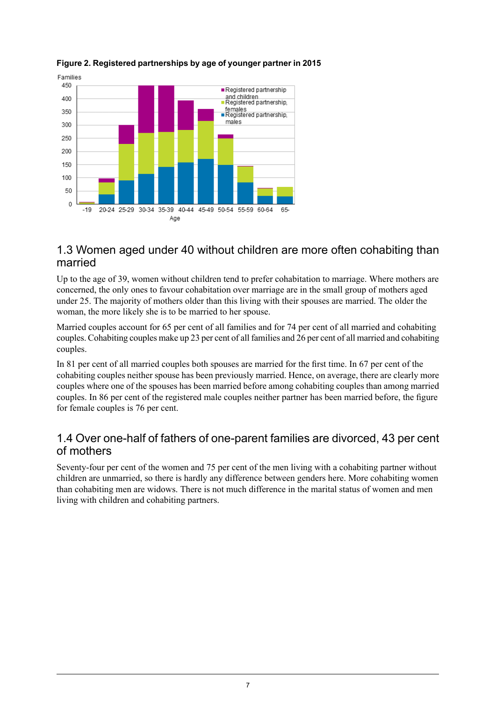

#### **Figure 2. Registered partnerships by age of younger partner in 2015**

#### <span id="page-6-0"></span>1.3 Women aged under 40 without children are more often cohabiting than married

Up to the age of 39, women without children tend to prefer cohabitation to marriage. Where mothers are concerned, the only ones to favour cohabitation over marriage are in the small group of mothers aged under 25. The majority of mothers older than this living with their spouses are married. The older the woman, the more likely she is to be married to her spouse.

Married couples account for 65 per cent of all families and for 74 per cent of all married and cohabiting couples. Cohabiting couples make up 23 per cent of all families and 26 per cent of all married and cohabiting couples.

<span id="page-6-1"></span>In 81 per cent of all married couples both spouses are married for the first time. In 67 per cent of the cohabiting couples neither spouse has been previously married. Hence, on average, there are clearly more couples where one of the spouses has been married before among cohabiting couples than among married couples. In 86 per cent of the registered male couples neither partner has been married before, the figure for female couples is 76 per cent.

#### 1.4 Over one-half of fathers of one-parent families are divorced, 43 per cent of mothers

Seventy-four per cent of the women and 75 per cent of the men living with a cohabiting partner without children are unmarried, so there is hardly any difference between genders here. More cohabiting women than cohabiting men are widows. There is not much difference in the marital status of women and men living with children and cohabiting partners.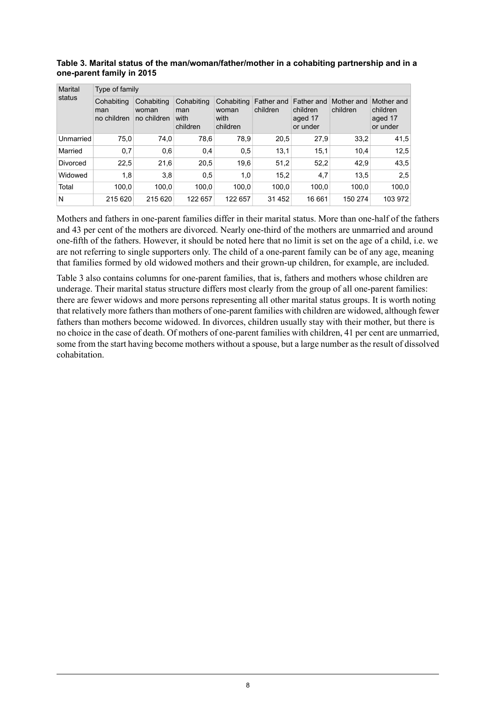| Marital<br>status | Type of family                   |                                    |                                       |                                         |                        |                                               |                        |                                               |  |  |  |
|-------------------|----------------------------------|------------------------------------|---------------------------------------|-----------------------------------------|------------------------|-----------------------------------------------|------------------------|-----------------------------------------------|--|--|--|
|                   | Cohabiting<br>man<br>no children | Cohabiting<br>woman<br>no children | Cohabiting<br>man<br>with<br>children | Cohabiting<br>woman<br>with<br>children | Father and<br>children | Father and<br>children<br>aged 17<br>or under | Mother and<br>children | Mother and<br>children<br>aged 17<br>or under |  |  |  |
| Unmarried         | 75.0                             | 74,0                               | 78,6                                  | 78,9                                    | 20.5                   | 27,9                                          | 33,2                   | 41,5                                          |  |  |  |
| Married           | 0,7                              | 0,6                                | 0,4                                   | 0,5                                     | 13,1                   | 15,1                                          | 10,4                   | 12,5                                          |  |  |  |
| Divorced          | 22,5                             | 21,6                               | 20,5                                  | 19,6                                    | 51,2                   | 52,2                                          | 42,9                   | 43,5                                          |  |  |  |
| Widowed           | 1,8                              | 3,8                                | 0,5                                   | 1,0                                     | 15,2                   | 4,7                                           | 13.5                   | 2,5                                           |  |  |  |
| Total             | 100.0                            | 100,0                              | 100,0                                 | 100,0                                   | 100,0                  | 100,0                                         | 100.0                  | 100,0                                         |  |  |  |
| N                 | 215 620                          | 215 620                            | 122 657                               | 122 657                                 | 31 452                 | 16 661                                        | 150 274                | 103 972                                       |  |  |  |

#### <span id="page-7-0"></span>**Table 3. Marital status of the man/woman/father/mother in a cohabiting partnership and in a one-parent family in 2015**

Mothers and fathers in one-parent families differ in their marital status. More than one-half of the fathers and 43 per cent of the mothers are divorced. Nearly one-third of the mothers are unmarried and around one-fifth of the fathers. However, it should be noted here that no limit is set on the age of a child, i.e. we are not referring to single supporters only. The child of a one-parent family can be of any age, meaning that families formed by old widowed mothers and their grown-up children, for example, are included.

Table 3 also contains columns for one-parent families, that is, fathers and mothers whose children are underage. Their marital status structure differs most clearly from the group of all one-parent families: there are fewer widows and more persons representing all other marital status groups. It is worth noting that relatively more fathers than mothers of one-parent families with children are widowed, although fewer fathers than mothers become widowed. In divorces, children usually stay with their mother, but there is no choice in the case of death. Of mothers of one-parent families with children, 41 per cent are unmarried, some from the start having become mothers without a spouse, but a large number as the result of dissolved cohabitation.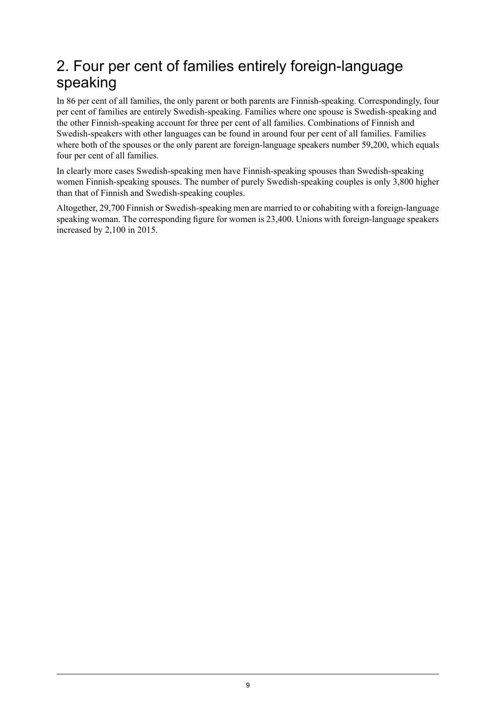## <span id="page-8-0"></span>2. Four per cent of families entirely foreign-language speaking

In 86 per cent of all families, the only parent or both parents are Finnish-speaking. Correspondingly, four per cent of families are entirely Swedish-speaking. Families where one spouse is Swedish-speaking and the other Finnish-speaking account for three per cent of all families. Combinations of Finnish and Swedish-speakers with other languages can be found in around four per cent of all families. Families where both of the spouses or the only parent are foreign-language speakers number 59,200, which equals four per cent of all families.

In clearly more cases Swedish-speaking men have Finnish-speaking spouses than Swedish-speaking women Finnish-speaking spouses. The number of purely Swedish-speaking couples is only 3,800 higher than that of Finnish and Swedish-speaking couples.

Altogether, 29,700 Finnish or Swedish-speaking men are married to or cohabiting with a foreign-language speaking woman. The corresponding figure for women is 23,400. Unions with foreign-language speakers increased by 2,100 in 2015.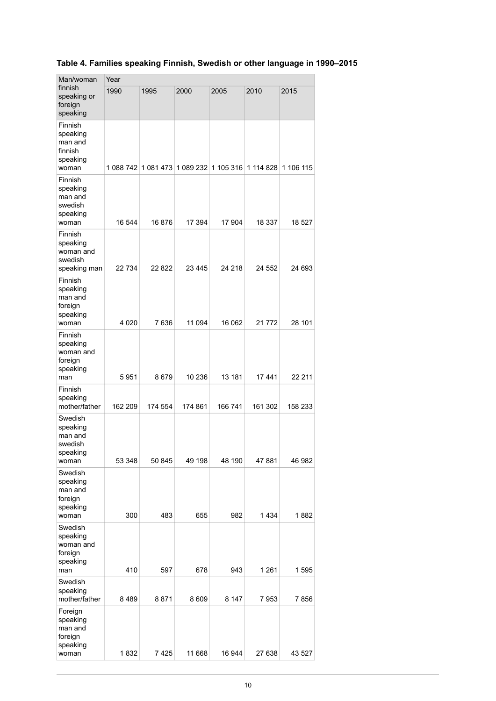| Man/woman                                                      | Year      |           |         |                                   |         |           |  |  |  |
|----------------------------------------------------------------|-----------|-----------|---------|-----------------------------------|---------|-----------|--|--|--|
| finnish<br>speaking or<br>foreign<br>speaking                  | 1990      | 1995      | 2000    | 2005                              | 2010    | 2015      |  |  |  |
| Finnish<br>speaking<br>man and<br>finnish<br>speaking<br>woman | 1 088 742 | 1 081 473 |         | 1 089 232   1 105 316   1 114 828 |         | 1 106 115 |  |  |  |
| Finnish<br>speaking<br>man and<br>swedish<br>speaking<br>woman | 16 544    | 16876     | 17 394  | 17 904                            | 18 337  | 18 527    |  |  |  |
| Finnish<br>speaking<br>woman and<br>swedish<br>speaking man    | 22 734    | 22 822    | 23 445  | 24 218                            | 24 552  | 24 693    |  |  |  |
| Finnish<br>speaking<br>man and<br>foreign<br>speaking<br>woman | 4 0 20    | 7636      | 11 094  | 16 062                            | 21 772  | 28 101    |  |  |  |
| Finnish<br>speaking<br>woman and<br>foreign<br>speaking<br>man | 5951      | 8679      | 10 236  | 13 181                            | 17441   | 22 211    |  |  |  |
| Finnish<br>speaking<br>mother/father                           | 162 209   | 174 554   | 174 861 | 166 741                           | 161 302 | 158 233   |  |  |  |
| Swedish<br>speaking<br>man and<br>swedish<br>speaking<br>woman | 53 348    | 50 845    | 49 198  | 48 190                            | 47 881  | 46 982    |  |  |  |
| Swedish<br>speaking<br>man and<br>foreign<br>speaking<br>woman | 300       | 483       | 655     | 982                               | 1434    | 1882      |  |  |  |
| Swedish<br>speaking<br>woman and<br>foreign<br>speaking<br>man | 410       | 597       | 678     | 943                               | 1 2 6 1 | 1595      |  |  |  |
| Swedish<br>speaking<br>mother/father                           | 8489      | 8871      | 8609    | 8 1 4 7                           | 7953    | 7856      |  |  |  |
| Foreign<br>speaking<br>man and<br>foreign<br>speaking<br>woman | 1832      | 7425      | 11 668  | 16 944                            | 27 638  | 43 527    |  |  |  |

### <span id="page-9-0"></span>**Table 4. Families speaking Finnish, Swedish or other language in 1990–2015**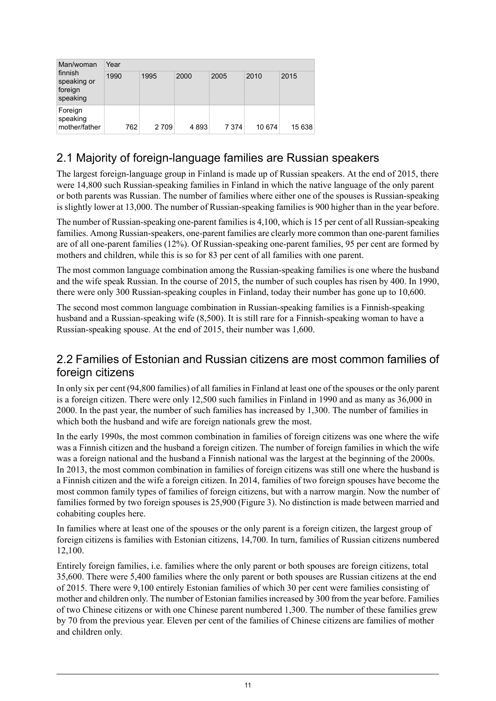| Man/woman<br>finnish<br>speaking or<br>foreign<br>speaking | Year |      |      |         |        |        |  |  |  |
|------------------------------------------------------------|------|------|------|---------|--------|--------|--|--|--|
|                                                            | 1990 | 1995 | 2000 | 2005    | 2010   | 2015   |  |  |  |
| Foreign<br>speaking<br>mother/father                       | 762  | 2709 | 4893 | 7 3 7 4 | 10 674 | 15 638 |  |  |  |

### <span id="page-10-0"></span>2.1 Majority of foreign-language families are Russian speakers

The largest foreign-language group in Finland is made up of Russian speakers. At the end of 2015, there were 14,800 such Russian-speaking families in Finland in which the native language of the only parent or both parents was Russian. The number of families where either one of the spouses is Russian-speaking is slightly lower at 13,000. The number of Russian-speaking families is 900 higher than in the year before.

The number of Russian-speaking one-parent families is 4,100, which is 15 per cent of all Russian-speaking families. Among Russian-speakers, one-parent families are clearly more common than one-parent families are of all one-parent families (12%). Of Russian-speaking one-parent families, 95 per cent are formed by mothers and children, while this is so for 83 per cent of all families with one parent.

The most common language combination among the Russian-speaking families is one where the husband and the wife speak Russian. In the course of 2015, the number of such couples has risen by 400. In 1990, there were only 300 Russian-speaking couples in Finland, today their number has gone up to 10,600.

<span id="page-10-1"></span>The second most common language combination in Russian-speaking families is a Finnish-speaking husband and a Russian-speaking wife (8,500). It is still rare for a Finnish-speaking woman to have a Russian-speaking spouse. At the end of 2015, their number was 1,600.

#### 2.2 Families of Estonian and Russian citizens are most common families of foreign citizens

In only six per cent (94,800 families) of all families in Finland at least one of the spouses or the only parent is a foreign citizen. There were only 12,500 such families in Finland in 1990 and as many as 36,000 in 2000. In the past year, the number of such families has increased by 1,300. The number of families in which both the husband and wife are foreign nationals grew the most.

In the early 1990s, the most common combination in families of foreign citizens was one where the wife was a Finnish citizen and the husband a foreign citizen. The number of foreign families in which the wife was a foreign national and the husband a Finnish national was the largest at the beginning of the 2000s. In 2013, the most common combination in families of foreign citizens was still one where the husband is a Finnish citizen and the wife a foreign citizen. In 2014, families of two foreign spouses have become the most common family types of families of foreign citizens, but with a narrow margin. Now the number of families formed by two foreign spouses is 25,900 (Figure 3). No distinction is made between married and cohabiting couples here.

In families where at least one of the spouses or the only parent is a foreign citizen, the largest group of foreign citizens is families with Estonian citizens, 14,700. In turn, families of Russian citizens numbered 12,100.

Entirely foreign families, i.e. families where the only parent or both spouses are foreign citizens, total 35,600. There were 5,400 families where the only parent or both spouses are Russian citizens at the end of 2015. There were 9,100 entirely Estonian families of which 30 per cent were families consisting of mother and children only. The number of Estonian families increased by 300 from the year before. Families of two Chinese citizens or with one Chinese parent numbered 1,300. The number of these families grew by 70 from the previous year. Eleven per cent of the families of Chinese citizens are families of mother and children only.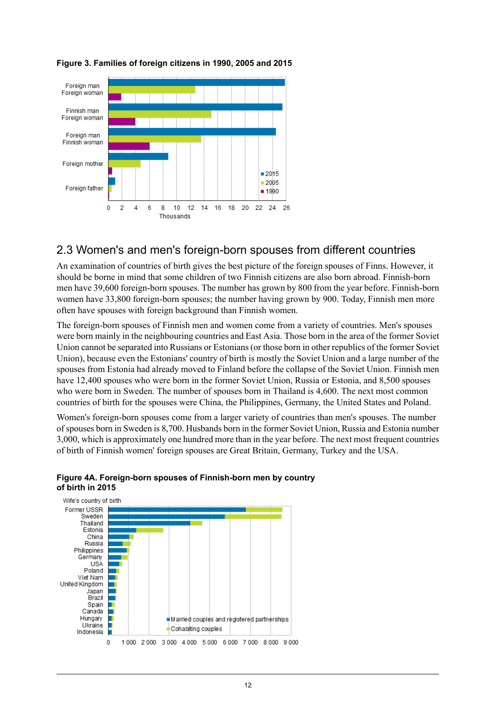

#### <span id="page-11-1"></span>**Figure 3. Families of foreign citizens in 1990, 2005 and 2015**

#### <span id="page-11-0"></span>2.3 Women's and men's foreign-born spouses from different countries

An examination of countries of birth gives the best picture of the foreign spouses of Finns. However, it should be borne in mind that some children of two Finnish citizens are also born abroad. Finnish-born men have 39,600 foreign-born spouses. The number has grown by 800 from the year before. Finnish-born women have 33,800 foreign-born spouses; the number having grown by 900. Today, Finnish men more often have spouses with foreign background than Finnish women.

The foreign-born spouses of Finnish men and women come from a variety of countries. Men's spouses were born mainly in the neighbouring countries and East Asia. Those born in the area of the former Soviet Union cannot be separated into Russians or Estonians (or those born in other republics of the former Soviet Union), because even the Estonians' country of birth is mostly the Soviet Union and a large number of the spouses from Estonia had already moved to Finland before the collapse of the Soviet Union. Finnish men have 12,400 spouses who were born in the former Soviet Union, Russia or Estonia, and 8,500 spouses who were born in Sweden. The number of spouses born in Thailand is 4,600. The next most common countries of birth for the spouses were China, the Philippines, Germany, the United States and Poland.

<span id="page-11-2"></span>Women's foreign-born spouses come from a larger variety of countries than men's spouses. The number ofspouses born in Sweden is 8,700. Husbands born in the former Soviet Union, Russia and Estonia number 3,000, which is approximately one hundred more than in the year before. The next most frequent countries of birth of Finnish women' foreign spouses are Great Britain, Germany, Turkey and the USA.



#### **Figure 4A. Foreign-born spouses of Finnish-born men by country of birth in 2015**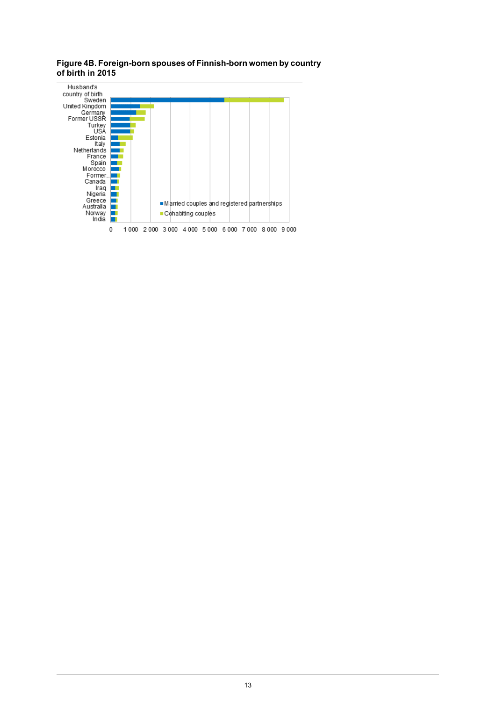<span id="page-12-0"></span>**Figure4B. Foreign-born spouses of Finnish-born women bycountry**

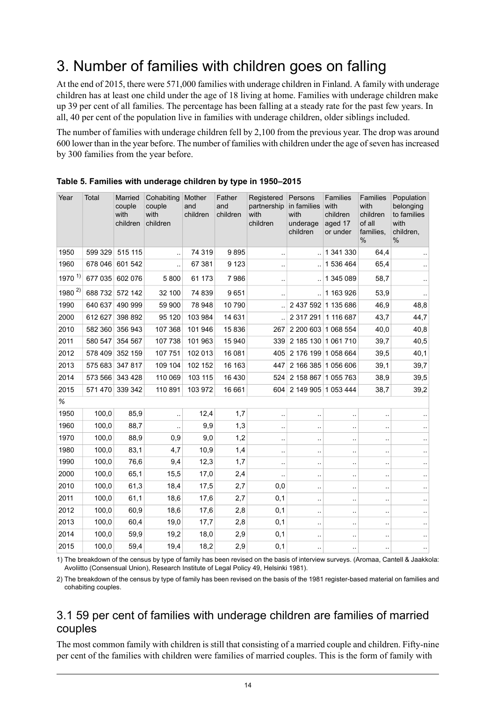## <span id="page-13-0"></span>3. Number of families with children goes on falling

At the end of 2015, there were 571,000 families with underage children in Finland. A family with underage children has at least one child under the age of 18 living at home. Families with underage children make up 39 per cent of all families. The percentage has been falling at a steady rate for the past few years. In all, 40 per cent of the population live in families with underage children, older siblings included.

The number of families with underage children fell by 2,100 from the previous year. The drop was around 600 lower than in the year before. The number of families with children under the age ofseven hasincreased by 300 families from the year before.

| Year         | Total   | Married<br>couple<br>with<br>children | Cohabiting<br>couple<br>with<br>children | Mother<br>and<br>children | Father<br>and<br>children | Registered<br>partnership<br>with<br>children | Persons<br>in families<br>with<br>underage<br>children | <b>Families</b><br>with<br>children<br>aged 17<br>or under | <b>Families</b><br>with<br>children<br>of all<br>families.<br>% | Population<br>belonging<br>to families<br>with<br>children.<br>$\%$ |
|--------------|---------|---------------------------------------|------------------------------------------|---------------------------|---------------------------|-----------------------------------------------|--------------------------------------------------------|------------------------------------------------------------|-----------------------------------------------------------------|---------------------------------------------------------------------|
| 1950         | 599 329 | 515 115                               |                                          | 74 319                    | 9895                      | $\ddotsc$                                     |                                                        | 1 341 330                                                  | 64,4                                                            |                                                                     |
| 1960         | 678 046 | 601 542                               | $\ddotsc$                                | 67 381                    | 9 1 2 3                   | ٠.                                            | $\ddot{\phantom{a}}$                                   | 1 536 464                                                  | 65.4                                                            |                                                                     |
| $1970^{1}$   | 677 035 | 602 076                               | 5 800                                    | 61 173                    | 7986                      | $\ddot{\phantom{a}}$                          | $\ddotsc$                                              | 1 345 089                                                  | 58,7                                                            |                                                                     |
| 1980 $^{2)}$ | 688 732 | 572 142                               | 32 100                                   | 74 839                    | 9651                      | $\cdot$ .                                     | $\ddot{\phantom{a}}$                                   | 1 163 926                                                  | 53,9                                                            |                                                                     |
| 1990         | 640 637 | 490 999                               | 59 900                                   | 78 948                    | 10790                     |                                               |                                                        | 2 437 592 1 135 686                                        | 46,9                                                            | 48,8                                                                |
| 2000         | 612 627 | 398 892                               | 95 120                                   | 103 984                   | 14 631                    |                                               | 2 317 291 1 116 687                                    |                                                            | 43,7                                                            | 44,7                                                                |
| 2010         | 582 360 | 356 943                               | 107 368                                  | 101 946                   | 15836                     | 267                                           |                                                        | 2 200 603 1 068 554                                        | 40,0                                                            | 40,8                                                                |
| 2011         | 580 547 | 354 567                               | 107 738                                  | 101 963                   | 15 940                    | 339                                           | 2 185 130 1 061 710                                    |                                                            | 39,7                                                            | 40,5                                                                |
| 2012         | 578 409 | 352 159                               | 107 751                                  | 102 013                   | 16 081                    | 405                                           | 2 176 199 1 058 664                                    |                                                            | 39,5                                                            | 40,1                                                                |
| 2013         | 575 683 | 347817                                | 109 104                                  | 102 152                   | 16 163                    | 447                                           | 2 166 385 1 056 606                                    |                                                            | 39,1                                                            | 39,7                                                                |
| 2014         | 573 566 | 343 428                               | 110 069                                  | 103 115                   | 16 4 30                   | 524                                           | 2 158 867 1 055 763                                    |                                                            | 38,9                                                            | 39,5                                                                |
| 2015         | 571 470 | 339 342                               | 110 891                                  | 103 972                   | 16 661                    | 604                                           | 2 149 905 1 053 444                                    |                                                            | 38,7                                                            | 39,2                                                                |
| %            |         |                                       |                                          |                           |                           |                                               |                                                        |                                                            |                                                                 |                                                                     |
| 1950         | 100,0   | 85,9                                  | $\ddotsc$                                | 12,4                      | 1,7                       | $\ddot{\phantom{a}}$                          | $\ddotsc$                                              | $\ddot{\phantom{a}}$                                       | $\ddot{\phantom{0}}$                                            |                                                                     |
| 1960         | 100,0   | 88,7                                  |                                          | 9,9                       | 1,3                       | ٠.                                            | $\ddotsc$                                              | $\ddot{\phantom{0}}$                                       | $\ddotsc$                                                       |                                                                     |
| 1970         | 100,0   | 88,9                                  | 0,9                                      | 9,0                       | 1,2                       | ٠.                                            | $\ddot{\phantom{1}}$ .                                 | $\ddot{\phantom{0}}$                                       | $\ddot{\phantom{0}}$                                            |                                                                     |
| 1980         | 100,0   | 83,1                                  | 4,7                                      | 10,9                      | 1,4                       | $\ddotsc$                                     | $\ddotsc$                                              | $\ddot{\phantom{0}}$                                       | $\ddot{\phantom{0}}$                                            |                                                                     |
| 1990         | 100,0   | 76,6                                  | 9,4                                      | 12,3                      | 1,7                       | μ.                                            | $\ddotsc$                                              | $\ddot{\phantom{a}}$                                       | ٠.                                                              |                                                                     |
| 2000         | 100,0   | 65,1                                  | 15,5                                     | 17,0                      | 2,4                       | $\ddot{\phantom{a}}$                          | $\ddot{\phantom{1}}$ .                                 | $\cdot$                                                    | $\ddot{\phantom{0}}$                                            |                                                                     |
| 2010         | 100,0   | 61,3                                  | 18,4                                     | 17,5                      | 2,7                       | 0,0                                           | $\ddot{\phantom{0}}$                                   | $\ddot{\phantom{0}}$                                       | $\ddot{\phantom{a}}$                                            |                                                                     |
| 2011         | 100,0   | 61,1                                  | 18,6                                     | 17,6                      | 2,7                       | 0,1                                           | $\ddot{\phantom{0}}$                                   | $\cdot$                                                    | $\ddot{\phantom{0}}$                                            |                                                                     |
| 2012         | 100,0   | 60,9                                  | 18,6                                     | 17,6                      | 2,8                       | 0,1                                           | $\ddotsc$                                              | $\ddot{\phantom{0}}$                                       | ٠.                                                              |                                                                     |
| 2013         | 100,0   | 60,4                                  | 19,0                                     | 17,7                      | 2,8                       | 0,1                                           | $\ddot{\phantom{0}}$                                   | $\ddot{\phantom{0}}$                                       | $\ddot{\phantom{a}}$                                            | $\ddotsc$                                                           |
| 2014         | 100,0   | 59,9                                  | 19,2                                     | 18,0                      | 2,9                       | 0,1                                           | $\ddot{\phantom{1}}$                                   | $\ddot{\phantom{a}}$                                       | $\ddot{\phantom{0}}$                                            |                                                                     |
| 2015         | 100,0   | 59,4                                  | 19,4                                     | 18,2                      | 2,9                       | 0,1                                           | $\ddotsc$                                              | $\ddot{\phantom{a}}$                                       | $\ddotsc$                                                       |                                                                     |

#### <span id="page-13-2"></span>**Table 5. Families with underage children by type in 1950–2015**

<span id="page-13-1"></span>1) The breakdown of the census by type of family has been revised on the basis of interview surveys. (Aromaa, Cantell & Jaakkola: Avoliitto (Consensual Union), Research Institute of Legal Policy 49, Helsinki 1981).

2) The breakdown of the census by type of family has been revised on the basis of the 1981 register-based material on families and cohabiting couples.

#### 3.1 59 per cent of families with underage children are families of married couples

The most common family with children is still that consisting of a married couple and children. Fifty-nine per cent of the families with children were families of married couples. This is the form of family with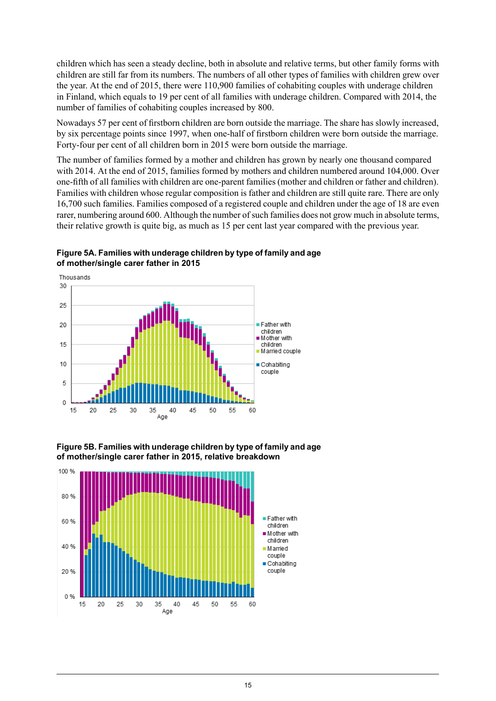children which has seen a steady decline, both in absolute and relative terms, but other family forms with children are still far from its numbers. The numbers of all other types of families with children grew over the year. At the end of 2015, there were 110,900 families of cohabiting couples with underage children in Finland, which equals to 19 per cent of all families with underage children. Compared with 2014, the number of families of cohabiting couples increased by 800.

Nowadays 57 per cent of firstborn children are born outside the marriage. The share has slowly increased, by six percentage points since 1997, when one-half of firstborn children were born outside the marriage. Forty-four per cent of all children born in 2015 were born outside the marriage.

The number of families formed by a mother and children has grown by nearly one thousand compared with 2014. At the end of 2015, families formed by mothers and children numbered around 104,000. Over one-fifth of all families with children are one-parent families (mother and children or father and children). Families with children whose regular composition is father and children are still quite rare. There are only 16,700 such families. Families composed of a registered couple and children under the age of 18 are even rarer, numbering around 600. Although the number of such families does not grow much in absolute terms, their relative growth is quite big, as much as 15 per cent last year compared with the previous year.



<span id="page-14-0"></span>**Figure5A. Families with underagechildren bytype of familyand age of mother/single carer father in 2015**

<span id="page-14-1"></span>**Figure5B. Families with underagechildren bytype of familyand age of mother/single carer father in 2015, relative breakdown**

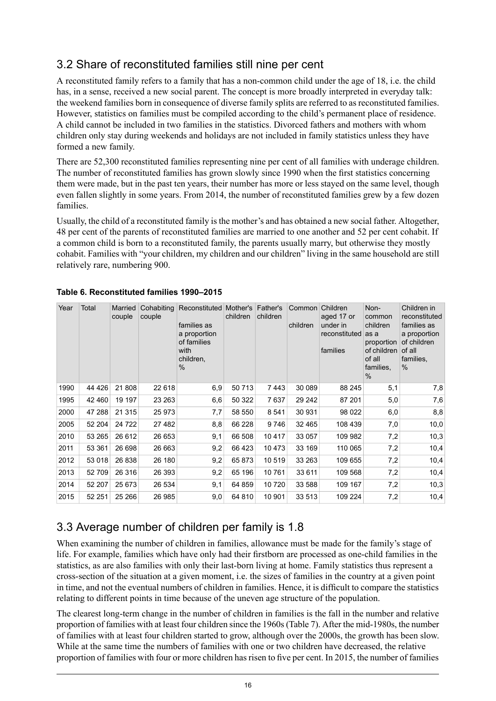### <span id="page-15-0"></span>3.2 Share of reconstituted families still nine per cent

A reconstituted family refers to a family that has a non-common child under the age of 18, i.e. the child has, in a sense, received a new social parent. The concept is more broadly interpreted in everyday talk: the weekend families born in consequence of diverse family splits are referred to as reconstituted families. However, statistics on families must be compiled according to the child's permanent place of residence. A child cannot be included in two families in the statistics. Divorced fathers and mothers with whom children only stay during weekends and holidays are not included in family statistics unless they have formed a new family.

There are 52,300 reconstituted families representing nine per cent of all families with underage children. The number of reconstituted families has grown slowly since 1990 when the first statistics concerning them were made, but in the past ten years, their number has more or less stayed on the same level, though even fallen slightly in some years. From 2014, the number of reconstituted families grew by a few dozen families.

Usually, the child of a reconstituted family is the mother's and has obtained a new social father. Altogether, 48 per cent of the parents of reconstituted families are married to one another and 52 per cent cohabit. If a common child is born to a reconstituted family, the parents usually marry, but otherwise they mostly cohabit. Families with "your children, my children and our children" living in the same household are still relatively rare, numbering 900.

| Year | Total   | Married<br>couple | Cohabiting<br>couple | Reconstituted Mother's<br>families as<br>a proportion<br>of families<br>with<br>children,<br>$\%$ | children | Father's<br>children | Common Children<br>children | aged 17 or<br>under in<br>reconstituted<br>families | Non-<br>common<br>children<br>as a<br>proportion<br>of children<br>of all<br>families.<br>$\%$ | Children in<br>reconstituted<br>families as<br>a proportion<br>of children<br>of all<br>families,<br>$\%$ |
|------|---------|-------------------|----------------------|---------------------------------------------------------------------------------------------------|----------|----------------------|-----------------------------|-----------------------------------------------------|------------------------------------------------------------------------------------------------|-----------------------------------------------------------------------------------------------------------|
| 1990 | 44 4 26 | 21 808            | 22 618               | 6,9                                                                                               | 50713    | 7443                 | 30 089                      | 88 245                                              | 5,1                                                                                            | 7,8                                                                                                       |
| 1995 | 42 460  | 19 197            | 23 263               | 6,6                                                                                               | 50 322   | 7637                 | 29 24 2                     | 87 201                                              | 5,0                                                                                            | 7,6                                                                                                       |
| 2000 | 47 288  | 21 3 15           | 25 973               | 7,7                                                                                               | 58 550   | 8541                 | 30 931                      | 98 0 22                                             | 6,0                                                                                            | 8,8                                                                                                       |
| 2005 | 52 204  | 24 7 22           | 27 482               | 8,8                                                                                               | 66 228   | 9746                 | 32 465                      | 108 439                                             | 7,0                                                                                            | 10,0                                                                                                      |
| 2010 | 53 265  | 26 612            | 26 653               | 9,1                                                                                               | 66 508   | 10417                | 33 057                      | 109 982                                             | 7,2                                                                                            | 10,3                                                                                                      |
| 2011 | 53 361  | 26 698            | 26 663               | 9,2                                                                                               | 66 423   | 10 473               | 33 169                      | 110 065                                             | 7,2                                                                                            | 10,4                                                                                                      |
| 2012 | 53 018  | 26 838            | 26 180               | 9,2                                                                                               | 65873    | 10519                | 33 263                      | 109 655                                             | 7,2                                                                                            | 10,4                                                                                                      |
| 2013 | 52709   | 26 316            | 26 393               | 9,2                                                                                               | 65 196   | 10761                | 33 611                      | 109 568                                             | 7,2                                                                                            | 10,4                                                                                                      |
| 2014 | 52 207  | 25 673            | 26 534               | 9,1                                                                                               | 64 859   | 10 7 20              | 33 588                      | 109 167                                             | 7,2                                                                                            | 10,3                                                                                                      |
| 2015 | 52 251  | 25 26 6           | 26 985               | 9,0                                                                                               | 64 810   | 10 901               | 33 513                      | 109 224                                             | 7,2                                                                                            | 10,4                                                                                                      |

#### <span id="page-15-2"></span>**Table 6. Reconstituted families 1990–2015**

## <span id="page-15-1"></span>3.3 Average number of children per family is 1.8

When examining the number of children in families, allowance must be made for the family's stage of life. For example, families which have only had their firstborn are processed as one-child families in the statistics, as are also families with only their last-born living at home. Family statistics thus represent a cross-section of the situation at a given moment, i.e. the sizes of families in the country at a given point in time, and not the eventual numbers of children in families. Hence, it is difficult to compare the statistics relating to different points in time because of the uneven age structure of the population.

The clearest long-term change in the number of children in families is the fall in the number and relative proportion of families with at least four children since the 1960s(Table 7). After the mid-1980s, the number of families with at least four children started to grow, although over the 2000s, the growth has been slow. While at the same time the numbers of families with one or two children have decreased, the relative proportion of families with four or more children has risen to five per cent. In 2015, the number of families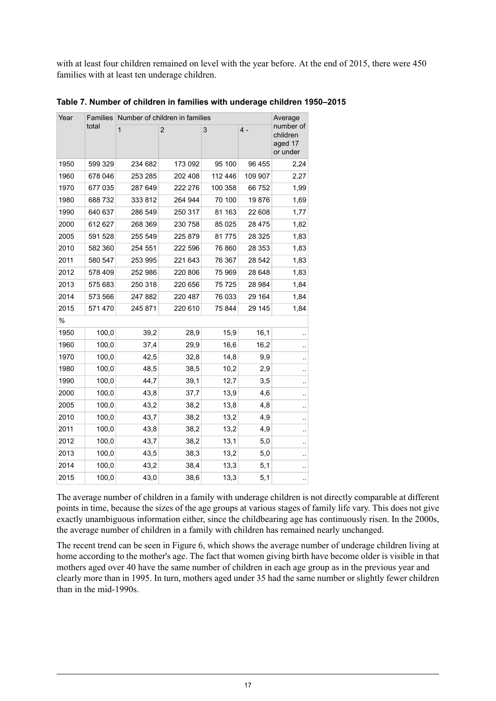with at least four children remained on level with the year before. At the end of 2015, there were 450 families with at least ten underage children.

| Year | Families |              | Number of children in families |         |         | Average                                      |
|------|----------|--------------|--------------------------------|---------|---------|----------------------------------------------|
|      | total    | $\mathbf{1}$ | $\overline{2}$                 | 3       | 4 -     | number of<br>children<br>aged 17<br>or under |
| 1950 | 599 329  | 234 682      | 173 092                        | 95 100  | 96 455  | 2,24                                         |
| 1960 | 678 046  | 253 285      | 202 408                        | 112 446 | 109 907 | 2,27                                         |
| 1970 | 677 035  | 287 649      | 222 276                        | 100 358 | 66752   | 1,99                                         |
| 1980 | 688 732  | 333 812      | 264 944                        | 70 100  | 19876   | 1,69                                         |
| 1990 | 640 637  | 286 549      | 250 317                        | 81 163  | 22 608  | 1,77                                         |
| 2000 | 612 627  | 268 369      | 230 758                        | 85 0 25 | 28 475  | 1,82                                         |
| 2005 | 591 528  | 255 549      | 225 879                        | 81775   | 28 3 25 | 1,83                                         |
| 2010 | 582 360  | 254 551      | 222 596                        | 76 860  | 28 353  | 1,83                                         |
| 2011 | 580 547  | 253 995      | 221 643                        | 76 367  | 28 542  | 1,83                                         |
| 2012 | 578 409  | 252 986      | 220 806                        | 75 969  | 28 648  | 1,83                                         |
| 2013 | 575 683  | 250 318      | 220 656                        | 75725   | 28 984  | 1,84                                         |
| 2014 | 573 566  | 247 882      | 220 487                        | 76 033  | 29 164  | 1,84                                         |
| 2015 | 571 470  | 245 871      | 220 610                        | 75 844  | 29 145  | 1,84                                         |
| %    |          |              |                                |         |         |                                              |
| 1950 | 100,0    | 39,2         | 28,9                           | 15,9    | 16,1    |                                              |
| 1960 | 100,0    | 37,4         | 29,9                           | 16,6    | 16,2    |                                              |
| 1970 | 100,0    | 42,5         | 32,8                           | 14,8    | 9,9     |                                              |
| 1980 | 100,0    | 48,5         | 38,5                           | 10,2    | 2,9     | ٠.                                           |
| 1990 | 100,0    | 44,7         | 39,1                           | 12,7    | 3,5     |                                              |
| 2000 | 100,0    | 43,8         | 37,7                           | 13,9    | 4,6     |                                              |
| 2005 | 100,0    | 43,2         | 38,2                           | 13,8    | 4,8     |                                              |
| 2010 | 100,0    | 43,7         | 38,2                           | 13,2    | 4,9     |                                              |
| 2011 | 100,0    | 43,8         | 38,2                           | 13,2    | 4,9     | μ.                                           |
| 2012 | 100,0    | 43,7         | 38,2                           | 13,1    | 5,0     |                                              |
| 2013 | 100,0    | 43,5         | 38,3                           | 13,2    | 5,0     |                                              |
| 2014 | 100,0    | 43,2         | 38,4                           | 13,3    | 5,1     |                                              |
| 2015 | 100,0    | 43,0         | 38,6                           | 13,3    | 5,1     |                                              |

<span id="page-16-0"></span>**Table 7. Number of children in families with underage children 1950–2015**

The average number of children in a family with underage children is not directly comparable at different points in time, because the sizes of the age groups at various stages of family life vary. This does not give exactly unambiguous information either, since the childbearing age has continuously risen. In the 2000s, the average number of children in a family with children has remained nearly unchanged.

The recent trend can be seen in Figure 6, which shows the average number of underage children living at home according to the mother's age. The fact that women giving birth have become older is visible in that mothers aged over 40 have the same number of children in each age group as in the previous year and clearly more than in 1995. In turn, mothers aged under 35 had the same number or slightly fewer children than in the mid-1990s.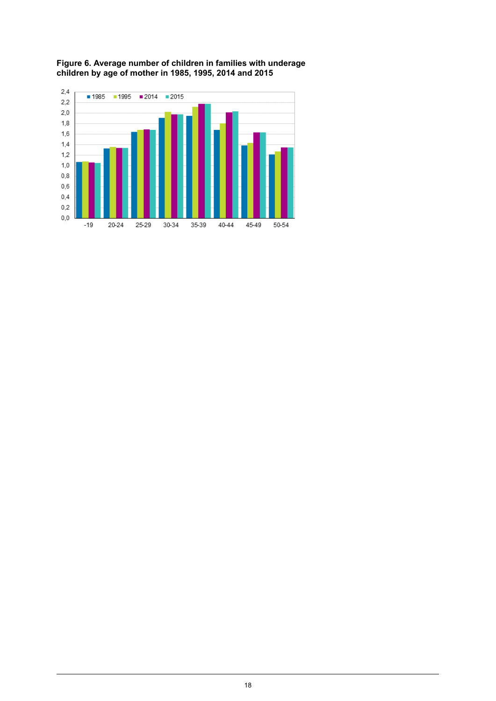

#### <span id="page-17-0"></span>**Figure 6. Average number of children in families with underage children by age of mother in 1985, 1995, 2014 and 2015**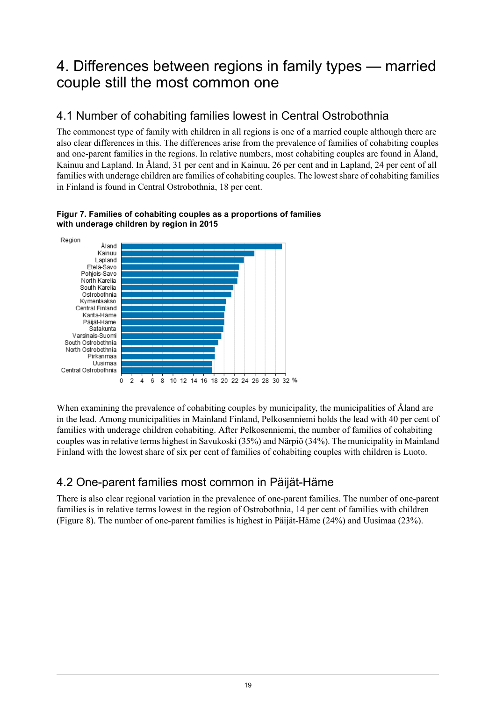## <span id="page-18-0"></span>4. Differences between regions in family types — married couple still the most common one

### <span id="page-18-1"></span>4.1 Number of cohabiting families lowest in Central Ostrobothnia

The commonest type of family with children in all regions is one of a married couple although there are also clear differences in this. The differences arise from the prevalence of families of cohabiting couples and one-parent families in the regions. In relative numbers, most cohabiting couples are found in Åland, Kainuu and Lapland. In Åland, 31 per cent and in Kainuu, 26 per cent and in Lapland, 24 per cent of all families with underage children are families of cohabiting couples. The lowest share of cohabiting families in Finland is found in Central Ostrobothnia, 18 per cent.



#### <span id="page-18-3"></span>**Figur 7. Families of cohabiting couples as a proportions of families with underage children by region in 2015**

<span id="page-18-2"></span>When examining the prevalence of cohabiting couples by municipality, the municipalities of Åland are in the lead. Among municipalities in Mainland Finland, Pelkosenniemi holds the lead with 40 per cent of families with underage children cohabiting. After Pelkosenniemi, the number of families of cohabiting couples wasin relative terms highest in Savukoski (35%) and Närpiö (34%). The municipality in Mainland Finland with the lowest share of six per cent of families of cohabiting couples with children is Luoto.

## 4.2 One-parent families most common in Päijät-Häme

There is also clear regional variation in the prevalence of one-parent families. The number of one-parent families is in relative terms lowest in the region of Ostrobothnia, 14 per cent of families with children (Figure 8). The number of one-parent families is highest in Päijät-Häme (24%) and Uusimaa (23%).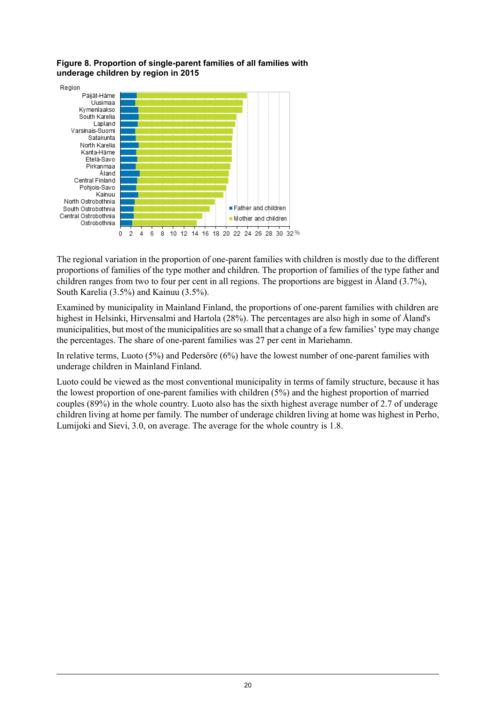<span id="page-19-0"></span>**Figure 8. Proportion of single-parent families of all families with underage children by region in 2015**



The regional variation in the proportion of one-parent families with children is mostly due to the different proportions of families of the type mother and children. The proportion of families of the type father and children ranges from two to four per cent in all regions. The proportions are biggest in Åland (3.7%), South Karelia (3.5%) and Kainuu (3.5%).

Examined by municipality in Mainland Finland, the proportions of one-parent families with children are highest in Helsinki, Hirvensalmi and Hartola (28%). The percentages are also high in some of Åland's municipalities, but most of the municipalities are so small that a change of a few families' type may change the percentages. The share of one-parent families was 27 per cent in Mariehamn.

In relative terms, Luoto (5%) and Pedersöre (6%) have the lowest number of one-parent families with underage children in Mainland Finland.

Luoto could be viewed as the most conventional municipality in terms of family structure, because it has the lowest proportion of one-parent families with children (5%) and the highest proportion of married couples (89%) in the whole country. Luoto also has the sixth highest average number of 2.7 of underage children living at home per family. The number of underage children living at home was highest in Perho, Lumijoki and Sievi, 3.0, on average. The average for the whole country is 1.8.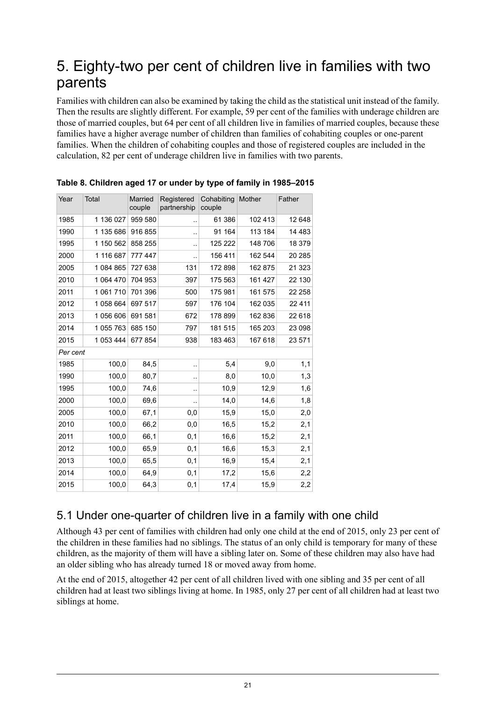## <span id="page-20-0"></span>5. Eighty-two per cent of children live in families with two parents

Families with children can also be examined by taking the child as the statistical unit instead of the family. Then the results are slightly different. For example, 59 per cent of the families with underage children are those of married couples, but 64 per cent of all children live in families of married couples, because these families have a higher average number of children than families of cohabiting couples or one-parent families. When the children of cohabiting couples and those of registered couples are included in the calculation, 82 per cent of underage children live in families with two parents.

| Year     | Total     | Married<br>couple | Registered<br>partnership | Cohabiting<br>couple | Mother  | Father  |
|----------|-----------|-------------------|---------------------------|----------------------|---------|---------|
| 1985     | 1 136 027 | 959 580           | $\ddot{\phantom{a}}$      | 61 386               | 102 413 | 12 648  |
| 1990     | 1 135 686 | 916 855           | ٠.                        | 91 164               | 113 184 | 14 4 83 |
| 1995     | 1 150 562 | 858 255           | $\ddot{\phantom{a}}$      | 125 222              | 148 706 | 18 379  |
| 2000     | 1 116 687 | 777 447           | $\ddot{\phantom{a}}$      | 156 411              | 162 544 | 20 285  |
| 2005     | 1 084 865 | 727 638           | 131                       | 172 898              | 162 875 | 21 323  |
| 2010     | 1 064 470 | 704 953           | 397                       | 175 563              | 161 427 | 22 130  |
| 2011     | 1 061 710 | 701 396           | 500                       | 175 981              | 161 575 | 22 258  |
| 2012     | 1 058 664 | 697 517           | 597                       | 176 104              | 162 035 | 22 4 11 |
| 2013     | 1 056 606 | 691 581           | 672                       | 178 899              | 162 836 | 22 618  |
| 2014     | 1 055 763 | 685 150           | 797                       | 181 515              | 165 203 | 23 098  |
| 2015     | 1 053 444 | 677 854           | 938                       | 183 463              | 167 618 | 23 571  |
| Per cent |           |                   |                           |                      |         |         |
| 1985     | 100,0     | 84,5              |                           | 5,4                  | 9,0     | 1,1     |
| 1990     | 100,0     | 80,7              | ٠.                        | 8,0                  | 10,0    | 1,3     |
| 1995     | 100,0     | 74,6              |                           | 10,9                 | 12,9    | 1,6     |
| 2000     | 100,0     | 69,6              | ٠.                        | 14,0                 | 14,6    | 1,8     |
| 2005     | 100,0     | 67,1              | 0,0                       | 15,9                 | 15,0    | 2,0     |
| 2010     | 100,0     | 66,2              | 0,0                       | 16,5                 | 15,2    | 2,1     |
| 2011     | 100,0     | 66,1              | 0,1                       | 16,6                 | 15,2    | 2,1     |
| 2012     | 100,0     | 65,9              | 0,1                       | 16,6                 | 15,3    | 2,1     |
| 2013     | 100,0     | 65,5              | 0,1                       | 16,9                 | 15,4    | 2,1     |
| 2014     | 100,0     | 64,9              | 0,1                       | 17,2                 | 15,6    | 2,2     |
| 2015     | 100,0     | 64,3              | 0,1                       | 17,4                 | 15,9    | 2,2     |

<span id="page-20-2"></span>**Table 8. Children aged 17 or under by type of family in 1985–2015**

## <span id="page-20-1"></span>5.1 Under one-quarter of children live in a family with one child

Although 43 per cent of families with children had only one child at the end of 2015, only 23 per cent of the children in these families had no siblings. The status of an only child is temporary for many of these children, as the majority of them will have a sibling later on. Some of these children may also have had an older sibling who has already turned 18 or moved away from home.

At the end of 2015, altogether 42 per cent of all children lived with one sibling and 35 per cent of all children had at least two siblings living at home. In 1985, only 27 per cent of all children had at least two siblings at home.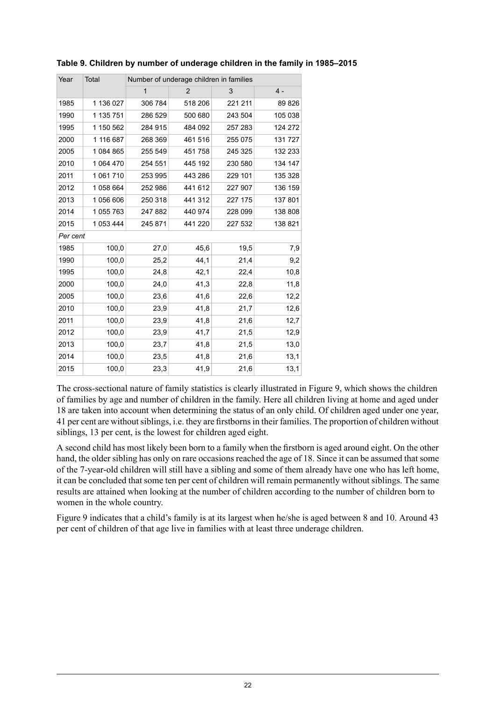| Year     | Total     |              | Number of underage children in families |         |         |
|----------|-----------|--------------|-----------------------------------------|---------|---------|
|          |           | $\mathbf{1}$ | $\overline{2}$                          | 3       | $4 -$   |
| 1985     | 1 136 027 | 306 784      | 518 206                                 | 221 211 | 89 826  |
| 1990     | 1 135 751 | 286 529      | 500 680                                 | 243 504 | 105 038 |
| 1995     | 1 150 562 | 284 915      | 484 092                                 | 257 283 | 124 272 |
| 2000     | 1 116 687 | 268 369      | 461 516                                 | 255 075 | 131 727 |
| 2005     | 1084865   | 255 549      | 451 758                                 | 245 325 | 132 233 |
| 2010     | 1 064 470 | 254 551      | 445 192                                 | 230 580 | 134 147 |
| 2011     | 1 061 710 | 253 995      | 443 286                                 | 229 101 | 135 328 |
| 2012     | 1058664   | 252 986      | 441 612                                 | 227 907 | 136 159 |
| 2013     | 1 056 606 | 250 318      | 441 312                                 | 227 175 | 137 801 |
| 2014     | 1 055 763 | 247 882      | 440 974                                 | 228 099 | 138 808 |
| 2015     | 1 053 444 | 245 871      | 441 220                                 | 227 532 | 138 821 |
| Per cent |           |              |                                         |         |         |
| 1985     | 100,0     | 27,0         | 45,6                                    | 19,5    | 7,9     |
| 1990     | 100,0     | 25,2         | 44,1                                    | 21,4    | 9,2     |
| 1995     | 100,0     | 24,8         | 42,1                                    | 22,4    | 10,8    |
| 2000     | 100,0     | 24,0         | 41,3                                    | 22,8    | 11,8    |
| 2005     | 100,0     | 23,6         | 41,6                                    | 22,6    | 12,2    |
| 2010     | 100,0     | 23,9         | 41,8                                    | 21,7    | 12,6    |
| 2011     | 100,0     | 23,9         | 41,8                                    | 21,6    | 12,7    |
| 2012     | 100,0     | 23,9         | 41,7                                    | 21,5    | 12,9    |
| 2013     | 100,0     | 23,7         | 41,8                                    | 21,5    | 13,0    |
| 2014     | 100,0     | 23,5         | 41,8                                    | 21,6    | 13,1    |
| 2015     | 100,0     | 23,3         | 41,9                                    | 21,6    | 13,1    |

#### <span id="page-21-0"></span>**Table 9. Children by number of underage children in the family in 1985–2015**

The cross-sectional nature of family statistics is clearly illustrated in Figure 9, which shows the children of families by age and number of children in the family. Here all children living at home and aged under 18 are taken into account when determining the status of an only child. Of children aged under one year, 41 per cent are without siblings, i.e. they are firstborns in their families. The proportion of children without siblings, 13 per cent, is the lowest for children aged eight.

A second child has most likely been born to a family when the firstborn is aged around eight. On the other hand, the older sibling has only on rare occasions reached the age of 18. Since it can be assumed that some of the 7-year-old children will still have a sibling and some of them already have one who has left home, it can be concluded that some ten per cent of children will remain permanently without siblings. The same results are attained when looking at the number of children according to the number of children born to women in the whole country.

Figure 9 indicates that a child's family is at its largest when he/she is aged between 8 and 10. Around 43 per cent of children of that age live in families with at least three underage children.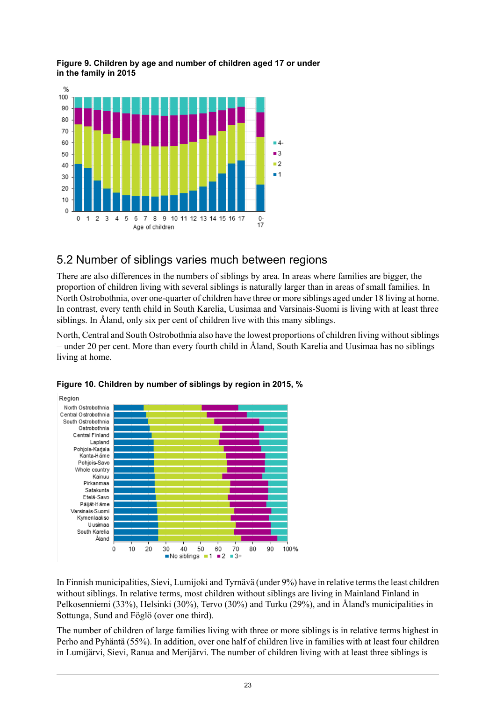

#### <span id="page-22-1"></span>**Figure 9. Children by age and number of children aged 17 or under in the family in 2015**

### <span id="page-22-0"></span>5.2 Number of siblings varies much between regions

There are also differences in the numbers of siblings by area. In areas where families are bigger, the proportion of children living with several siblings is naturally larger than in areas of small families. In North Ostrobothnia, over one-quarter of children have three or more siblings aged under 18 living at home. In contrast, every tenth child in South Karelia, Uusimaa and Varsinais-Suomi is living with at least three siblings. In Åland, only six per cent of children live with this many siblings.

<span id="page-22-2"></span>North, Central and South Ostrobothnia also have the lowest proportions of children living without siblings − under 20 per cent. More than every fourth child in Åland, South Karelia and Uusimaa has no siblings living at home.



**Figure 10. Children by number of siblings by region in 2015, %**

In Finnish municipalities, Sievi, Lumijoki and Tyrnävä (under 9%) have in relative termsthe least children without siblings. In relative terms, most children without siblings are living in Mainland Finland in Pelkosenniemi (33%), Helsinki (30%), Tervo (30%) and Turku (29%), and in Åland's municipalities in Sottunga, Sund and Föglö (over one third).

The number of children of large families living with three or more siblings is in relative terms highest in Perho and Pyhäntä (55%). In addition, over one half of children live in families with at least four children in Lumijärvi, Sievi, Ranua and Merijärvi. The number of children living with at least three siblings is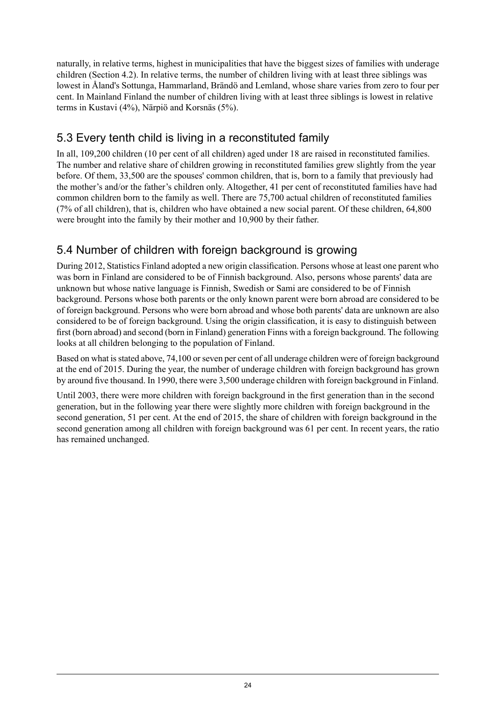naturally, in relative terms, highest in municipalities that have the biggest sizes of families with underage children (Section 4.2). In relative terms, the number of children living with at least three siblings was lowest in Åland's Sottunga, Hammarland, Brändö and Lemland, whose share varies from zero to four per cent. In Mainland Finland the number of children living with at least three siblings is lowest in relative terms in Kustavi (4%), Närpiö and Korsnäs (5%).

## <span id="page-23-0"></span>5.3 Every tenth child is living in a reconstituted family

In all, 109,200 children (10 per cent of all children) aged under 18 are raised in reconstituted families. The number and relative share of children growing in reconstituted families grew slightly from the year before. Of them, 33,500 are the spouses' common children, that is, born to a family that previously had the mother's and/or the father's children only. Altogether, 41 per cent of reconstituted families have had common children born to the family as well. There are 75,700 actual children of reconstituted families (7% of all children), that is, children who have obtained a new social parent. Of these children, 64,800 were brought into the family by their mother and 10,900 by their father.

## <span id="page-23-1"></span>5.4 Number of children with foreign background is growing

During 2012, Statistics Finland adopted a new origin classification. Persons whose at least one parent who was born in Finland are considered to be of Finnish background. Also, persons whose parents' data are unknown but whose native language is Finnish, Swedish or Sami are considered to be of Finnish background. Persons whose both parents or the only known parent were born abroad are considered to be of foreign background. Persons who were born abroad and whose both parents' data are unknown are also considered to be of foreign background. Using the origin classification, it is easy to distinguish between first (born abroad) and second (born in Finland) generation Finns with a foreign background. The following looks at all children belonging to the population of Finland.

Based on what is stated above, 74,100 or seven per cent of all underage children were of foreign background at the end of 2015. During the year, the number of underage children with foreign background has grown by around five thousand. In 1990, there were 3,500 underage children with foreign background in Finland.

Until 2003, there were more children with foreign background in the first generation than in the second generation, but in the following year there were slightly more children with foreign background in the second generation, 51 per cent. At the end of 2015, the share of children with foreign background in the second generation among all children with foreign background was 61 per cent. In recent years, the ratio has remained unchanged.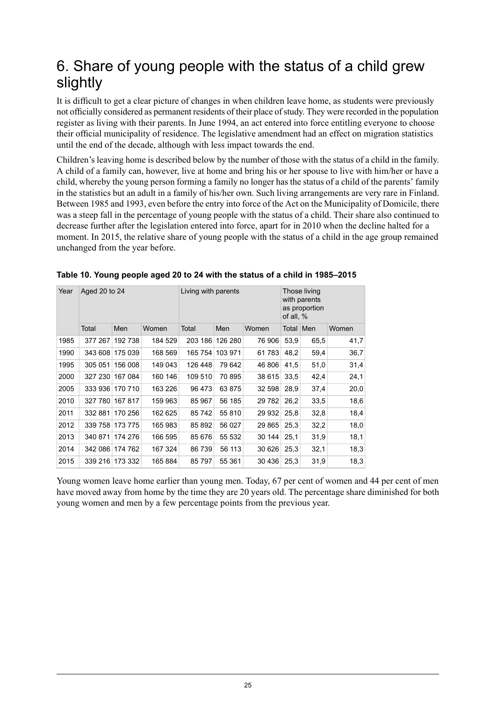## <span id="page-24-0"></span>6. Share of young people with the status of a child grew slightly

It is difficult to get a clear picture of changes in when children leave home, as students were previously not officially considered as permanent residents of their place of study. They were recorded in the population register as living with their parents. In June 1994, an act entered into force entitling everyone to choose their official municipality of residence. The legislative amendment had an effect on migration statistics until the end of the decade, although with less impact towards the end.

Children's leaving home is described below by the number of those with the status of a child in the family. A child of a family can, however, live at home and bring his or her spouse to live with him/her or have a child, whereby the young person forming a family no longer has the status of a child of the parents' family in the statistics but an adult in a family of his/her own. Such living arrangements are very rare in Finland. Between 1985 and 1993, even before the entry into force of the Act on the Municipality of Domicile, there was a steep fall in the percentage of young people with the status of a child. Their share also continued to decrease further after the legislation entered into force, apart for in 2010 when the decline halted for a moment. In 2015, the relative share of young people with the status of a child in the age group remained unchanged from the year before.

| Year | Aged 20 to 24 |                 |         | Living with parents |         | Those living<br>with parents<br>as proportion<br>of all, % |           |      |       |
|------|---------------|-----------------|---------|---------------------|---------|------------------------------------------------------------|-----------|------|-------|
|      | Total         | Men             | Women   | Total               | Men     | Women                                                      | Total Men |      | Women |
| 1985 | 377 267       | 192 738         | 184 529 | 203 186             | 126 280 | 76 906                                                     | 53,9      | 65,5 | 41,7  |
| 1990 | 343 608       | 175 039         | 168 569 | 165 754             | 103 971 | 61783                                                      | 48,2      | 59,4 | 36,7  |
| 1995 | 305 051       | 156 008         | 149 043 | 126 448             | 79 642  | 46 806                                                     | 41,5      | 51,0 | 31,4  |
| 2000 | 327 230       | 167 084         | 160 146 | 109 510             | 70 895  | 38 615                                                     | 33,5      | 42,4 | 24,1  |
| 2005 | 333 936       | 170 710         | 163 226 | 96 473              | 63 875  | 32 598                                                     | 28,9      | 37,4 | 20,0  |
| 2010 | 327 780       | 167817          | 159 963 | 85 967              | 56 185  | 29 7 82                                                    | 26,2      | 33,5 | 18,6  |
| 2011 | 332881        | 170 256         | 162 625 | 85 742              | 55 810  | 29 932                                                     | 25,8      | 32,8 | 18,4  |
| 2012 | 339 758       | 173 775         | 165 983 | 85 892              | 56 027  | 29 865                                                     | 25,3      | 32,2 | 18,0  |
| 2013 |               | 340 871 174 276 | 166 595 | 85 676              | 55 532  | 30 144                                                     | 25.1      | 31,9 | 18,1  |
| 2014 | 342 086       | 174 762         | 167 324 | 86 739              | 56 113  | 30 626                                                     | 25,3      | 32,1 | 18,3  |
| 2015 | 339 216       | 173 332         | 165 884 | 85 797              | 55 361  | 30 436                                                     | 25,3      | 31,9 | 18,3  |

<span id="page-24-1"></span>

| Table 10. Young people aged 20 to 24 with the status of a child in 1985-2015 |
|------------------------------------------------------------------------------|
|------------------------------------------------------------------------------|

Young women leave home earlier than young men. Today, 67 per cent of women and 44 per cent of men have moved away from home by the time they are 20 years old. The percentage share diminished for both young women and men by a few percentage points from the previous year.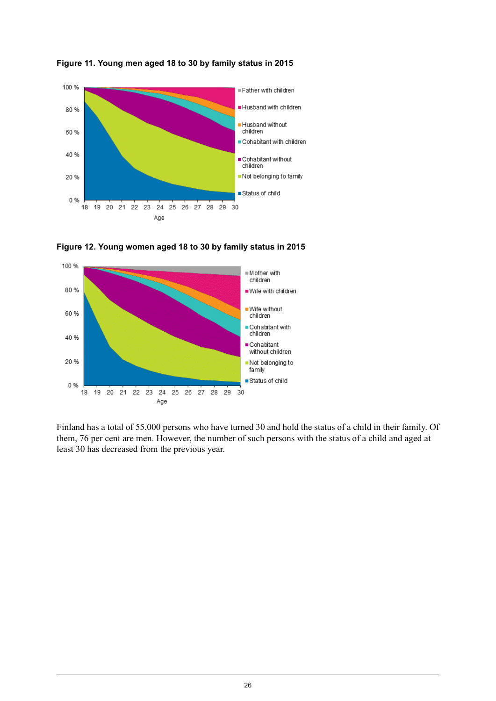

<span id="page-25-0"></span>**Figure 11. Young men aged 18 to 30 by family status in 2015**



<span id="page-25-1"></span>

Finland has a total of 55,000 persons who have turned 30 and hold the status of a child in their family. Of them, 76 per cent are men. However, the number of such persons with the status of a child and aged at least 30 has decreased from the previous year.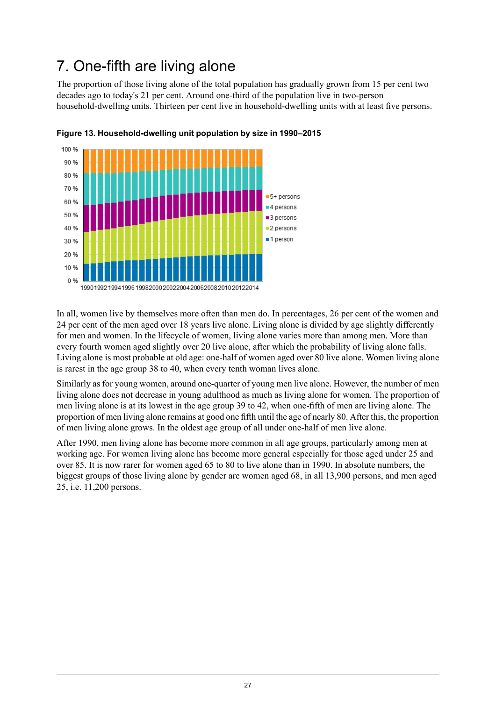## <span id="page-26-0"></span>7. One-fifth are living alone

The proportion of those living alone of the total population has gradually grown from 15 per cent two decades ago to today's 21 per cent. Around one-third of the population live in two-person household-dwelling units. Thirteen per cent live in household-dwelling units with at least five persons.



<span id="page-26-1"></span>

In all, women live by themselves more often than men do. In percentages, 26 per cent of the women and 24 per cent of the men aged over 18 years live alone. Living alone is divided by age slightly differently for men and women. In the lifecycle of women, living alone varies more than among men. More than every fourth women aged slightly over 20 live alone, after which the probability of living alone falls. Living alone is most probable at old age: one-half of women aged over 80 live alone. Women living alone is rarest in the age group 38 to 40, when every tenth woman lives alone.

Similarly as for young women, around one-quarter of young men live alone. However, the number of men living alone does not decrease in young adulthood as much as living alone for women. The proportion of men living alone is at its lowest in the age group 39 to 42, when one-fifth of men are living alone. The proportion of men living alone remains at good one fifth until the age of nearly 80. After this, the proportion of men living alone grows. In the oldest age group of all under one-half of men live alone.

After 1990, men living alone has become more common in all age groups, particularly among men at working age. For women living alone has become more general especially for those aged under 25 and over 85. It is now rarer for women aged 65 to 80 to live alone than in 1990. In absolute numbers, the biggest groups of those living alone by gender are women aged 68, in all 13,900 persons, and men aged 25, i.e. 11,200 persons.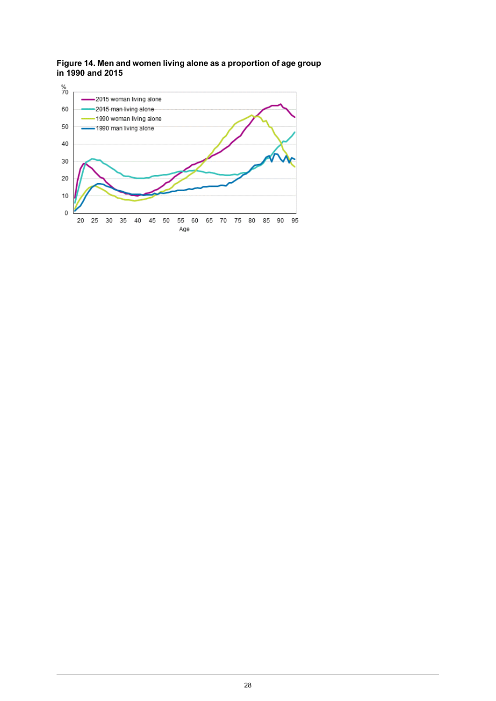<span id="page-27-0"></span>**Figure 14. Men and women living alone as a proportion of age group in 1990 and 2015**

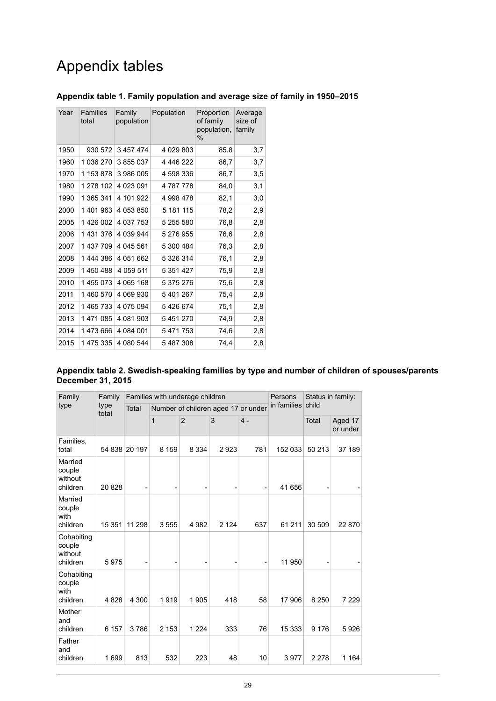## Appendix tables

| Year | <b>Families</b><br>total | Family<br>population | Population | Proportion<br>of family<br>population,<br>$\%$ | Average<br>size of<br>family |
|------|--------------------------|----------------------|------------|------------------------------------------------|------------------------------|
| 1950 | 930 572                  | 3 457 474            | 4 029 803  | 85,8                                           | 3,7                          |
| 1960 | 1 036 270                | 3855037              | 4 446 222  | 86,7                                           | 3,7                          |
| 1970 | 1 153 878                | 3986005              | 4 598 336  | 86,7                                           | 3,5                          |
| 1980 | 1 278 102                | 4 023 091            | 4787778    | 84,0                                           | 3,1                          |
| 1990 | 1 365 341                | 4 101 922            | 4 998 478  | 82,1                                           | 3,0                          |
| 2000 | 1401963                  | 4 053 850            | 5 181 115  | 78,2                                           | 2,9                          |
| 2005 | 1426 002                 | 4 037 753            | 5 255 580  | 76,8                                           | 2,8                          |
| 2006 | 1431376                  | 4 039 944            | 5 276 955  | 76,6                                           | 2,8                          |
| 2007 | 1437709                  | 4 045 561            | 5 300 484  | 76,3                                           | 2,8                          |
| 2008 | 1444386                  | 4 051 662            | 5 326 314  | 76.1                                           | 2,8                          |
| 2009 | 1450488                  | 4 059 511            | 5 351 427  | 75,9                                           | 2,8                          |
| 2010 | 1455073                  | 4 065 168            | 5 375 276  | 75,6                                           | 2,8                          |
| 2011 | 1460 570                 | 4 069 930            | 5401267    | 75,4                                           | 2,8                          |
| 2012 | 1465733                  | 4 075 094            | 5426674    | 75,1                                           | 2,8                          |
| 2013 | 1471085                  | 4 081 903            | 5451270    | 74,9                                           | 2,8                          |
| 2014 | 1473666                  | 4 084 001            | 5471753    | 74,6                                           | 2,8                          |
| 2015 | 1475335                  | 4 080 544            | 5487308    | 74,4                                           | 2,8                          |

#### <span id="page-28-0"></span>**Appendix table 1. Family population and average size of family in 1950–2015**

#### <span id="page-28-1"></span>**Appendix table 2. Swedish-speaking families by type and number of children of spouses/parents December 31, 2015**

| Family                                      | Family        |        | Families with underage children |                | Persons                             | Status in family: |             |         |                     |  |
|---------------------------------------------|---------------|--------|---------------------------------|----------------|-------------------------------------|-------------------|-------------|---------|---------------------|--|
| type                                        | type<br>total | Total  |                                 |                | Number of children aged 17 or under |                   | in families | child   |                     |  |
|                                             |               |        | 1                               | $\overline{2}$ | 3                                   | 4 -               |             | Total   | Aged 17<br>or under |  |
| Families,<br>total                          | 54 838        | 20 197 | 8 1 5 9                         | 8 3 3 4        | 2923                                | 781               | 152 033     | 50 213  | 37 189              |  |
| Married<br>couple<br>without<br>children    | 20828         |        |                                 |                |                                     |                   | 41 656      |         |                     |  |
| Married<br>couple<br>with<br>children       | 15 351        | 11 298 | 3555                            | 4982           | 2 1 2 4                             | 637               | 61 211      | 30 509  | 22 870              |  |
| Cohabiting<br>couple<br>without<br>children | 5975          |        |                                 |                |                                     |                   | 11 950      |         |                     |  |
| Cohabiting<br>couple<br>with<br>children    | 4828          | 4 300  | 1919                            | 1905           | 418                                 | 58                | 17 906      | 8 2 5 0 | 7 2 2 9             |  |
| Mother<br>and<br>children                   | 6 157         | 3786   | 2 1 5 3                         | 1 2 2 4        | 333                                 | 76                | 15 333      | 9 1 7 6 | 5926                |  |
| Father<br>and<br>children                   | 1699          | 813    | 532                             | 223            | 48                                  | 10                | 3977        | 2 2 7 8 | 1 1 6 4             |  |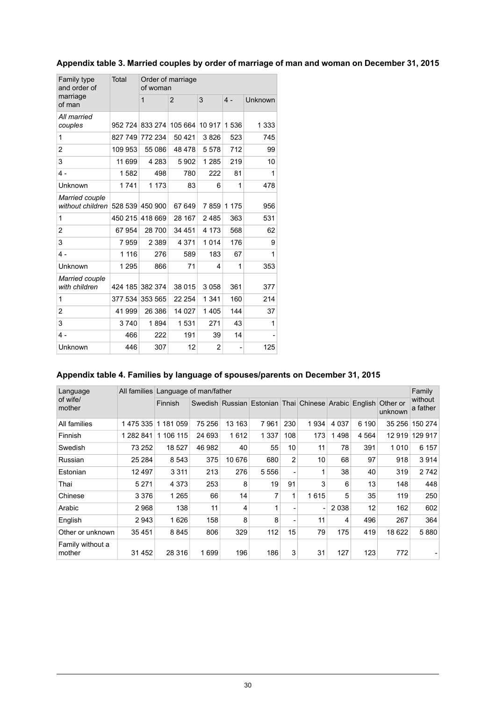<span id="page-29-0"></span>

| Appendix table 3. Married couples by order of marriage of man and woman on December 31, 2015 |  |  |  |  |
|----------------------------------------------------------------------------------------------|--|--|--|--|
|                                                                                              |  |  |  |  |

| Family type<br>and order of            | Total   | of woman        | Order of marriage |                |                |         |
|----------------------------------------|---------|-----------------|-------------------|----------------|----------------|---------|
| marriage<br>of man                     |         | $\overline{1}$  | $\overline{2}$    | 3              | $4 -$          | Unknown |
| All married<br>couples                 | 952 724 | 833 274         | 105 664           | 10 917         | 1536           | 1 3 3 3 |
| 1                                      | 827 749 | 772 234         | 50 4 21           | 3826           | 523            | 745     |
| 2                                      | 109 953 | 55 086          | 48 478            | 5578           | 712            | 99      |
| 3                                      | 11 699  | 4 2 8 3         | 5902              | 1 2 8 5        | 219            | 10      |
| $4 -$                                  | 1582    | 498             | 780               | 222            | 81             | 1       |
| Unknown                                | 1741    | 1 1 7 3         | 83                | 6              | 1              | 478     |
| Married couple<br>without children     |         | 528 539 450 900 | 67 649            | 7859           | 1 1 7 5        | 956     |
| 1                                      | 450 215 | 418 669         | 28 167            | 2485           | 363            | 531     |
| 2                                      | 67954   | 28700           | 34 451            | 4 1 7 3        | 568            | 62      |
| 3                                      | 7959    | 2 3 8 9         | 4 3 7 1           | 1014           | 176            | 9       |
| $4 -$                                  | 1 1 1 6 | 276             | 589               | 183            | 67             | 1       |
| Unknown                                | 1 2 9 5 | 866             | 71                | 4              | 1              | 353     |
| <b>Married couple</b><br>with children | 424 185 | 382 374         | 38 015            | 3058           | 361            | 377     |
| 1                                      | 377 534 | 353 565         | 22 254            | 1 3 4 1        | 160            | 214     |
| 2                                      | 41 999  | 26 386          | 14 0 27           | 1405           | 144            | 37      |
| 3                                      | 3740    | 1894            | 1531              | 271            | 43             | 1       |
| $4 -$                                  | 466     | 222             | 191               | 39             | 14             |         |
| Unknown                                | 446     | 307             | 12                | $\overline{2}$ | $\overline{a}$ | 125     |

### <span id="page-29-1"></span>**Appendix table 4. Families by language of spouses/parents on December 31, 2015**

| Language                   | All families Language of man/father |                |        |        |                                                               |                              |              |         |         |         | Family              |
|----------------------------|-------------------------------------|----------------|--------|--------|---------------------------------------------------------------|------------------------------|--------------|---------|---------|---------|---------------------|
| of wife/<br>mother         |                                     | <b>Finnish</b> |        |        | Swedish Russian Estonian Thai Chinese Arabic English Other or |                              |              |         |         | unknown | without<br>a father |
| All families               | 1475335                             | 1 181 059      | 75 256 | 13 163 | 7961                                                          | 230                          | 1934         | 4 0 3 7 | 6 190   | 35 256  | 150 274             |
| Finnish                    | 1 282 841                           | 1 106 115      | 24 693 | 1612   | 1 3 3 7                                                       | 108                          | 173          | 1498    | 4 5 6 4 | 12919   | 129 917             |
| Swedish                    | 73 252                              | 18 527         | 46 982 | 40     | 55                                                            | 10                           | 11           | 78      | 391     | 1010    | 6 157               |
| Russian                    | 25 284                              | 8 5 4 3        | 375    | 10 676 | 680                                                           | $\overline{2}$               | 10           | 68      | 97      | 918     | 3914                |
| Estonian                   | 12 497                              | 3 3 1 1        | 213    | 276    | 5 5 5 6                                                       | $\qquad \qquad \blacksquare$ | $\mathbf{1}$ | 38      | 40      | 319     | 2742                |
| Thai                       | 5 2 7 1                             | 4 3 7 3        | 253    | 8      | 19                                                            | 91                           | 3            | 6       | 13      | 148     | 448                 |
| Chinese                    | 3 3 7 6                             | 1 2 6 5        | 66     | 14     | 7                                                             | 1                            | 1615         | 5       | 35      | 119     | 250                 |
| Arabic                     | 2968                                | 138            | 11     | 4      |                                                               | ٠                            |              | 2 0 3 8 | 12      | 162     | 602                 |
| English                    | 2943                                | 1626           | 158    | 8      | 8                                                             | $\qquad \qquad \blacksquare$ | 11           | 4       | 496     | 267     | 364                 |
| Other or unknown           | 35 451                              | 8845           | 806    | 329    | 112                                                           | 15                           | 79           | 175     | 419     | 18 622  | 5880                |
| Family without a<br>mother | 31 452                              | 28 316         | 1699   | 196    | 186                                                           | 3                            | 31           | 127     | 123     | 772     |                     |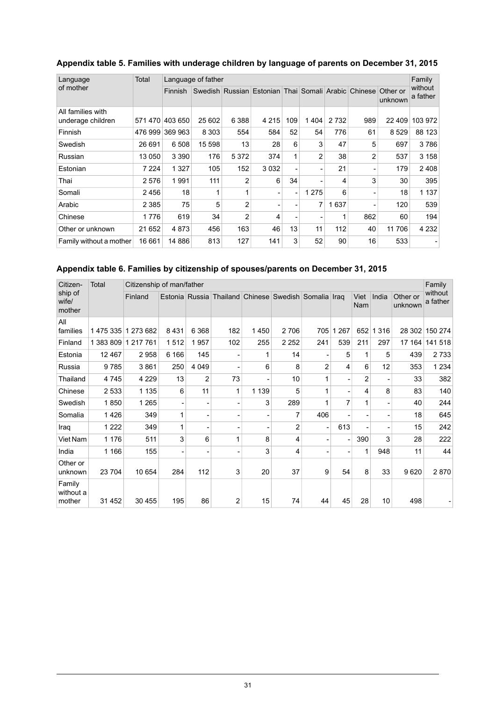| Language                               | Total   |                | Language of father |                |                                                     |                |                          |         |                |                     | Family              |
|----------------------------------------|---------|----------------|--------------------|----------------|-----------------------------------------------------|----------------|--------------------------|---------|----------------|---------------------|---------------------|
| of mother                              |         | <b>Finnish</b> |                    |                | Swedish Russian Estonian Thai Somali Arabic Chinese |                |                          |         |                | Other or<br>unknown | without<br>a father |
| All families with<br>underage children | 571470  | 403 650        | 25 602             | 6 3 8 8        | 4 2 1 5                                             | 109            | 1404                     | 2 7 3 2 | 989            | 22 409              | 103 972             |
| Finnish                                | 476 999 | 369 963        | 8 3 0 3            | 554            | 584                                                 | 52             | 54                       | 776     | 61             | 8529                | 88 123              |
| Swedish                                | 26 691  | 6 508          | 15 598             | 13             | 28                                                  | 6              | 3                        | 47      | 5              | 697                 | 3786                |
| Russian                                | 13 050  | 3 3 9 0        | 176                | 5 3 7 2        | 374                                                 | 1              | $\overline{2}$           | 38      | $\overline{2}$ | 537                 | 3 1 5 8             |
| Estonian                               | 7 2 2 4 | 1 3 2 7        | 105                | 152            | 3 0 3 2                                             |                | ۰                        | 21      |                | 179                 | 2408                |
| Thai                                   | 2 5 7 6 | 1991           | 111                | $\overline{2}$ | 6                                                   | 34             | ۰                        | 4       | 3              | 30                  | 395                 |
| Somali                                 | 2456    | 18             | 1                  | 1              |                                                     | $\overline{a}$ | 1 2 7 5                  | 6       |                | 18                  | 1 1 3 7             |
| Arabic                                 | 2 3 8 5 | 75             | 5                  | $\overline{2}$ |                                                     |                | 7                        | 1637    |                | 120                 | 539                 |
| Chinese                                | 1776    | 619            | 34                 | $\overline{2}$ | 4                                                   |                | $\overline{\phantom{a}}$ | 1       | 862            | 60                  | 194                 |
| Other or unknown                       | 21 652  | 4873           | 456                | 163            | 46                                                  | 13             | 11                       | 112     | 40             | 11 706              | 4 2 3 2             |
| Family without a mother                | 16 661  | 14 886         | 813                | 127            | 141                                                 | 3              | 52                       | 90      | 16             | 533                 |                     |

#### <span id="page-30-0"></span>**Appendix table 5. Families with underage children by language of parents on December 31, 2015**

#### <span id="page-30-1"></span>**Appendix table 6. Families by citizenship of spouses/parents on December 31, 2015**

| Citizen-                      | Total   | Citizenship of man/father |         |                          |                                                      |         |                |                |         |                |                          |                     | Family              |
|-------------------------------|---------|---------------------------|---------|--------------------------|------------------------------------------------------|---------|----------------|----------------|---------|----------------|--------------------------|---------------------|---------------------|
| ship of<br>wife/<br>mother    |         | Finland                   |         |                          | Estonia Russia Thailand Chinese Swedish Somalia Iraq |         |                |                |         | Viet<br>Nam    | India                    | Other or<br>unknown | without<br>a father |
| All<br>families               |         | 1475 335 1273 682         | 8431    | 6 3 6 8                  | 182                                                  | 1450    | 2706           | 705            | 1 2 6 7 | 652            | 1 3 1 6                  | 28 302              | 150 274             |
| Finland                       |         | 1 383 809 1 217 761       | 1512    | 1957                     | 102                                                  | 255     | 2 2 5 2        | 241            | 539     | 211            | 297                      | 17 164              | 141 518             |
| Estonia                       | 12 467  | 2958                      | 6 1 6 6 | 145                      |                                                      | 1       | 14             |                | 5       | 1              | 5                        | 439                 | 2733                |
| Russia                        | 9785    | 3861                      | 250     | 4 0 4 9                  |                                                      | 6       | 8              | $\overline{2}$ | 4       | 6              | 12                       | 353                 | 1 2 3 4             |
| Thailand                      | 4745    | 4 2 2 9                   | 13      | $\overline{2}$           | 73                                                   |         | 10             | 1              |         | $\overline{2}$ | ٠                        | 33                  | 382                 |
| Chinese                       | 2 5 3 3 | 1 1 3 5                   | 6       | 11                       | 1                                                    | 1 1 3 9 | 5              | 1              |         | 4              | 8                        | 83                  | 140                 |
| Swedish                       | 1850    | 1 2 6 5                   |         | ٠                        | ۰                                                    | 3       | 289            |                | 7       | 1              | $\overline{\phantom{0}}$ | 40                  | 244                 |
| Somalia                       | 1426    | 349                       | 1       | $\overline{\phantom{a}}$ | ۰                                                    |         | 7              | 406            |         |                | $\overline{\phantom{0}}$ | 18                  | 645                 |
| Iraq                          | 1 2 2 2 | 349                       | 1       | $\overline{\phantom{a}}$ | ۰                                                    |         | $\overline{2}$ |                | 613     | $\blacksquare$ | $\blacksquare$           | 15                  | 242                 |
| Viet Nam                      | 1 1 7 6 | 511                       | 3       | 6                        | $\mathbf{1}$                                         | 8       | 4              |                |         | 390            | 3                        | 28                  | 222                 |
| India                         | 1 1 6 6 | 155                       |         | -                        |                                                      | 3       | 4              |                |         | 1              | 948                      | 11                  | 44                  |
| Other or<br>unknown           | 23 704  | 10 654                    | 284     | 112                      | 3                                                    | 20      | 37             | 9              | 54      | 8              | 33                       | 9620                | 2870                |
| Family<br>without a<br>mother | 31 452  | 30 455                    | 195     | 86                       | 2                                                    | 15      | 74             | 44             | 45      | 28             | 10                       | 498                 |                     |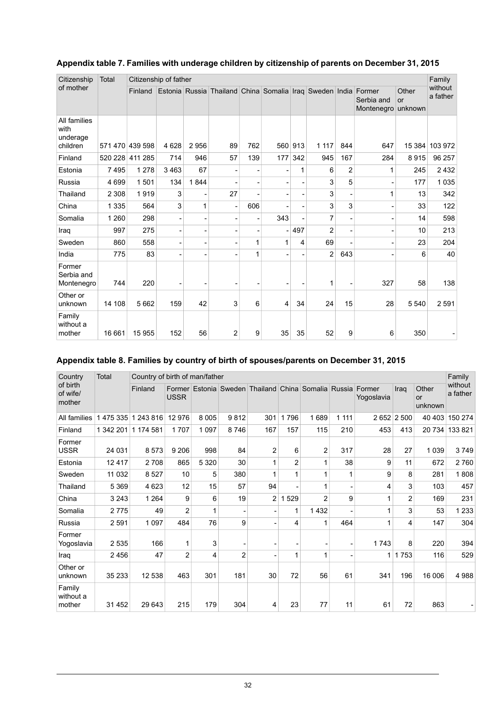| Citizenship                                  | Total   | Citizenship of father |                |      |                                          |                          |                |     |                |                |                                    |                        | Family              |
|----------------------------------------------|---------|-----------------------|----------------|------|------------------------------------------|--------------------------|----------------|-----|----------------|----------------|------------------------------------|------------------------|---------------------|
| of mother                                    |         | Finland               | Estonia Russia |      | Thailand China Somalia Iraq Sweden India |                          |                |     |                |                | Former<br>Serbia and<br>Montenegro | Other<br>or<br>unknown | without<br>a father |
| All families<br>with<br>underage<br>children |         | 571 470 439 598       | 4 6 28         | 2956 | 89                                       | 762                      | 560            | 913 | 1 1 1 7        | 844            | 647                                | 15 384                 | 103 972             |
| Finland                                      | 520 228 | 411 285               | 714            | 946  | 57                                       | 139                      | 177            | 342 | 945            | 167            | 284                                | 8915                   | 96 257              |
| Estonia                                      | 7495    | 1 2 7 8               | 3463           | 67   |                                          |                          |                | 1   | 6              | $\overline{2}$ | $\mathbf{1}$                       | 245                    | 2 4 3 2             |
| Russia                                       | 4 6 9 9 | 1 501                 | 134            | 1844 |                                          |                          |                |     | 3              | 5              | ٠                                  | 177                    | 1 0 3 5             |
| Thailand                                     | 2 3 0 8 | 1919                  | 3              |      | 27                                       | $\overline{\phantom{a}}$ |                |     | 3              |                | 1                                  | 13                     | 342                 |
| China                                        | 1 3 3 5 | 564                   | 3              | 1    | $\overline{a}$                           | 606                      |                |     | 3              | 3              |                                    | 33                     | 122                 |
| Somalia                                      | 1 2 6 0 | 298                   | ٠              |      | ۰                                        |                          | 343            |     | 7              |                |                                    | 14                     | 598                 |
| Iraq                                         | 997     | 275                   |                |      | $\qquad \qquad \blacksquare$             |                          | $\overline{a}$ | 497 | $\overline{2}$ |                | $\overline{\phantom{a}}$           | 10                     | 213                 |
| Sweden                                       | 860     | 558                   | ٠              |      | ۰                                        | 1                        | 1              | 4   | 69             |                |                                    | 23                     | 204                 |
| India                                        | 775     | 83                    | ٠              |      |                                          | 1                        |                |     | $\overline{2}$ | 643            |                                    | 6                      | 40                  |
| Former<br>Serbia and<br>Montenegro           | 744     | 220                   | ۰              |      | ۰                                        |                          | ٠              |     | 1              |                | 327                                | 58                     | 138                 |
| Other or<br>unknown                          | 14 108  | 5 6 6 2               | 159            | 42   | 3                                        | 6                        | $\overline{4}$ | 34  | 24             | 15             | 28                                 | 5 5 4 0                | 2 5 9 1             |
| Family<br>without a<br>mother                | 16 661  | 15 955                | 152            | 56   | 2                                        | 9                        | 35             | 35  | 52             | 9              | 6                                  | 350                    |                     |

#### <span id="page-31-0"></span>**Appendix table 7. Families with underage children by citizenship of parents on December 31, 2015**

#### <span id="page-31-1"></span>**Appendix table 8. Families by country of birth of spouses/parents on December 31, 2015**

| Country                        | <b>Total</b> |           | Country of birth of man/father |         |                |                                                     |     |      |         |                      |                |                        |                     |
|--------------------------------|--------------|-----------|--------------------------------|---------|----------------|-----------------------------------------------------|-----|------|---------|----------------------|----------------|------------------------|---------------------|
| of birth<br>of wife/<br>mother |              | Finland   | <b>USSR</b>                    |         |                | Former Estonia Sweden Thailand China Somalia Russia |     |      |         | Former<br>Yogoslavia | Iraq           | Other<br>or<br>unknown | without<br>a father |
| All families                   | 1 475 335    | 1 243 816 | 12 976                         | 8 0 0 5 | 9812           | 301                                                 | 796 | 1689 | 1 1 1 1 | 2652                 | 2 500          | 40 403                 | 150 274             |
| Finland                        | 1 342 201    | 1 174 581 | 1 7 0 7                        | 1 0 9 7 | 8746           | 167                                                 | 157 | 115  | 210     | 453                  | 413            | 20 734                 | 133 821             |
| Former<br><b>USSR</b>          | 24 031       | 8573      | 9 2 0 6                        | 998     | 84             | 2                                                   | 6   | 2    | 317     | 28                   | 27             | 1 0 3 9                | 3749                |
| Estonia                        | 12417        | 2708      | 865                            | 5 3 2 0 | 30             |                                                     | 2   | 1    | 38      | 9                    | 11             | 672                    | 2760                |
| Sweden                         | 11 032       | 8527      | 10                             | 5       | 380            |                                                     | 1   | 1    | 1       | 9                    | 8              | 281                    | 1808                |
| Thailand                       | 5 3 6 9      | 4 6 23    | 12                             | 15      | 57             | 94                                                  |     | 1    |         | 4                    | 3              | 103                    | 457                 |
| China                          | 3 2 4 3      | 1 2 6 4   | 9                              | 6       | 19             | 2                                                   | 529 | 2    | 9       | 1                    | $\overline{2}$ | 169                    | 231                 |
| Somalia                        | 2775         | 49        | $\overline{2}$                 | 1       |                |                                                     | 1   | 1432 |         | 1                    | 3              | 53                     | 1 2 3 3             |
| Russia                         | 2591         | 1 0 9 7   | 484                            | 76      | 9              |                                                     | 4   | 1    | 464     | 1                    | 4              | 147                    | 304                 |
| Former<br>Yogoslavia           | 2535         | 166       | 1                              | 3       |                | $\qquad \qquad \blacksquare$                        |     |      |         | 1743                 | 8              | 220                    | 394                 |
| Iraq                           | 2456         | 47        | 2                              | 4       | $\overline{2}$ |                                                     | 1   | 1    |         | 1                    | 1753           | 116                    | 529                 |
| Other or<br>unknown            | 35 233       | 12 538    | 463                            | 301     | 181            | 30                                                  | 72  | 56   | 61      | 341                  | 196            | 16 006                 | 4 9 8 8             |
| Family<br>without a<br>mother  | 31 452       | 29 643    | 215                            | 179     | 304            | 4                                                   | 23  | 77   | 11      | 61                   | 72             | 863                    |                     |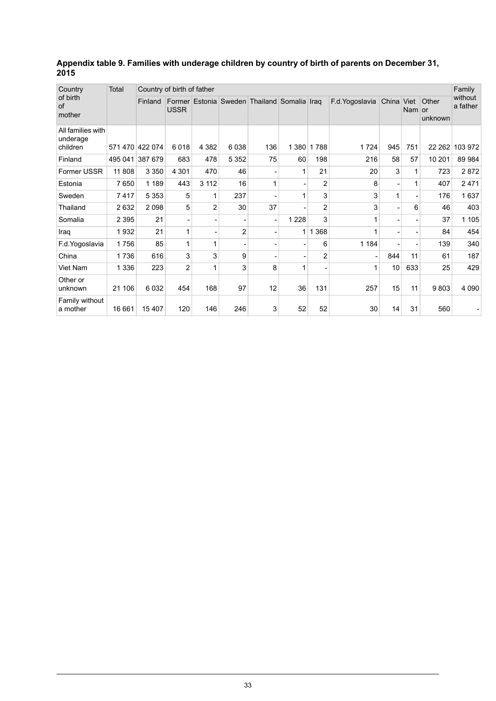<span id="page-32-0"></span>

| Appendix table 9. Families with underage children by country of birth of parents on December 31, |  |
|--------------------------------------------------------------------------------------------------|--|
| 2015                                                                                             |  |

| Country                                   | <b>Total</b> | Country of birth of father |                |                |                |                                             |         |                |                 |            |                          |                  | Family              |
|-------------------------------------------|--------------|----------------------------|----------------|----------------|----------------|---------------------------------------------|---------|----------------|-----------------|------------|--------------------------|------------------|---------------------|
| of birth<br>of<br>mother                  |              | Finland                    | <b>USSR</b>    |                |                | Former Estonia Sweden Thailand Somalia Iraq |         |                | F.d. Yogoslavia | China Viet | Nam or                   | Other<br>unknown | without<br>a father |
| All families with<br>underage<br>children |              | 571 470 422 074            | 6018           | 4 3 8 2        | 6038           | 136                                         | 1 380   | 1788           | 1724            | 945        | 751                      | 22 262           | 103 972             |
| Finland                                   | 495 041      | 387 679                    | 683            | 478            | 5 3 5 2        | 75                                          | 60      | 198            | 216             | 58         | 57                       | 10 201           | 89 984              |
| Former USSR                               | 11 808       | 3 3 5 0                    | 4 3 0 1        | 470            | 46             | $\overline{\phantom{0}}$                    | 1       | 21             | 20              | 3          | 1                        | 723              | 2872                |
| Estonia                                   | 7650         | 1 1 8 9                    | 443            | 3 1 1 2        | 16             | $\mathbf{1}$                                |         | 2              | 8               |            | 1                        | 407              | 2471                |
| Sweden                                    | 7417         | 5 3 5 3                    | 5              |                | 237            | $\blacksquare$                              | 1       | 3              | 3               | 1          | $\overline{\phantom{0}}$ | 176              | 1637                |
| Thailand                                  | 2632         | 2098                       | 5              | $\overline{2}$ | 30             | 37                                          |         | $\overline{2}$ | 3               |            | 6                        | 46               | 403                 |
| Somalia                                   | 2 3 9 5      | 21                         |                |                |                | $\overline{\phantom{a}}$                    | 1 2 2 8 | 3              |                 |            |                          | 37               | 1 1 0 5             |
| Iraq                                      | 1932         | 21                         | 1              |                | $\overline{2}$ | ٠                                           | 1       | 1 3 6 8        |                 |            |                          | 84               | 454                 |
| F.d. Yogoslavia                           | 1756         | 85                         | 1              |                |                |                                             |         | 6              | 1 1 8 4         |            |                          | 139              | 340                 |
| China                                     | 1736         | 616                        | 3              | 3              | 9              | $\overline{\phantom{0}}$                    |         | $\overline{2}$ |                 | 844        | 11                       | 61               | 187                 |
| Viet Nam                                  | 1 3 3 6      | 223                        | $\overline{2}$ |                | 3              | 8                                           | 1       |                | 1               | 10         | 633                      | 25               | 429                 |
| Other or<br>unknown                       | 21 106       | 6032                       | 454            | 168            | 97             | 12                                          | 36      | 131            | 257             | 15         | 11                       | 9803             | 4 0 9 0             |
| Family without<br>a mother                | 16 661       | 15 407                     | 120            | 146            | 246            | 3                                           | 52      | 52             | 30              | 14         | 31                       | 560              |                     |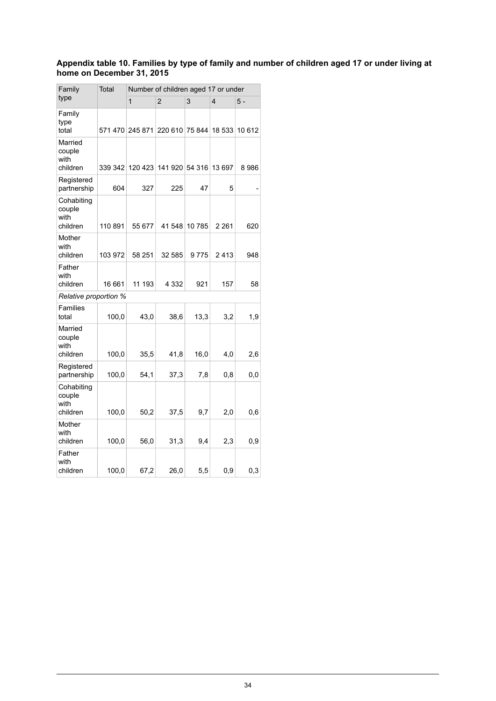#### <span id="page-33-0"></span>**Appendix table 10. Families by type of family and number of children aged 17 or under living at home on December 31, 2015**

| Family                                   | Total   | Number of children aged 17 or under |                        |               |         |        |  |  |  |  |
|------------------------------------------|---------|-------------------------------------|------------------------|---------------|---------|--------|--|--|--|--|
| type                                     |         | 1                                   | $\overline{2}$         | 3             | 4       | 5 -    |  |  |  |  |
| Family<br>type<br>total                  | 571470  | 245 871                             | 220 610 75 844         |               | 18 533  | 10 612 |  |  |  |  |
| Married<br>couple<br>with<br>children    | 339 342 |                                     | 120 423 141 920 54 316 |               | 13 697  | 8986   |  |  |  |  |
| Registered<br>partnership                | 604     | 327                                 | 225                    | 47            | 5       |        |  |  |  |  |
| Cohabiting<br>couple<br>with<br>children | 110 891 | 55 677                              |                        | 41 548 10 785 | 2 2 6 1 | 620    |  |  |  |  |
| Mother<br>with<br>children               | 103 972 | 58 251                              | 32 585                 | 9775          | 2413    | 948    |  |  |  |  |
| Father<br>with<br>children               | 16 661  | 11 193                              | 4 3 3 2                | 921           | 157     | 58     |  |  |  |  |
| Relative proportion %                    |         |                                     |                        |               |         |        |  |  |  |  |
| Families<br>total                        | 100,0   | 43,0                                | 38,6                   | 13,3          | 3,2     | 1,9    |  |  |  |  |
| Married<br>couple<br>with<br>children    | 100,0   | 35,5                                | 41,8                   | 16,0          | 4,0     | 2,6    |  |  |  |  |
| Registered<br>partnership                | 100,0   | 54,1                                | 37,3                   | 7,8           | 0,8     | 0,0    |  |  |  |  |
| Cohabiting<br>couple<br>with<br>children | 100,0   | 50,2                                | 37,5                   | 9,7           | 2,0     | 0,6    |  |  |  |  |
| Mother<br>with<br>children               | 100,0   | 56,0                                | 31,3                   | 9,4           | 2,3     | 0,9    |  |  |  |  |
| Father<br>with<br>children               | 100,0   | 67,2                                | 26,0                   | 5,5           | 0,9     | 0,3    |  |  |  |  |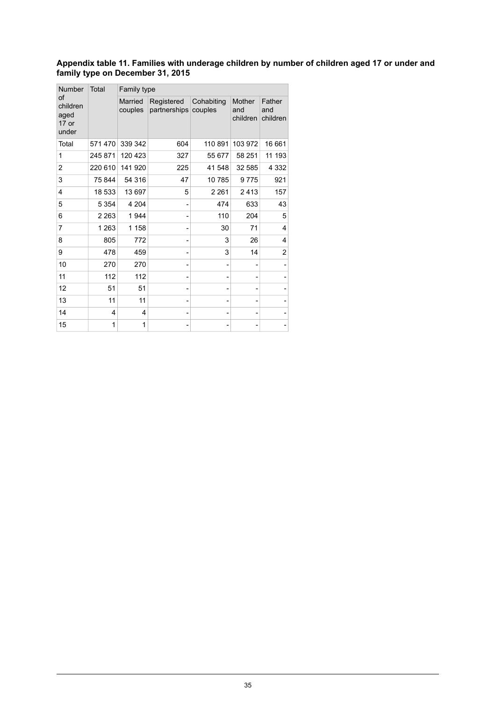#### <span id="page-34-0"></span>**Appendix table 11. Families with underage children by number of children aged 17 or under and family type on December 31, 2015**

| <b>Number</b>                              | Total   | Family type        |                            |                       |                                  |                           |  |  |  |  |  |
|--------------------------------------------|---------|--------------------|----------------------------|-----------------------|----------------------------------|---------------------------|--|--|--|--|--|
| of<br>children<br>aged<br>$17$ or<br>under |         | Married<br>couples | Registered<br>partnerships | Cohabiting<br>couples | <b>Mother</b><br>and<br>children | Father<br>and<br>children |  |  |  |  |  |
| Total                                      | 571470  | 339 342            | 604                        | 110 891               | 103 972                          | 16 661                    |  |  |  |  |  |
| 1                                          | 245 871 | 120 423            | 327                        | 55 677                | 58 251                           | 11 193                    |  |  |  |  |  |
| 2                                          | 220 610 | 141 920            | 225                        | 41 548                | 32 585                           | 4 3 3 2                   |  |  |  |  |  |
| 3                                          | 75844   | 54 316             | 47                         | 10785                 | 9775                             | 921                       |  |  |  |  |  |
| 4                                          | 18 533  | 13697              | 5                          | 2 2 6 1               | 2413                             | 157                       |  |  |  |  |  |
| 5                                          | 5 3 5 4 | 4 204              |                            | 474                   | 633                              | 43                        |  |  |  |  |  |
| 6                                          | 2 2 6 3 | 1944               |                            | 110                   | 204                              | 5                         |  |  |  |  |  |
| 7                                          | 1 2 6 3 | 1 1 5 8            |                            | 30                    | 71                               | 4                         |  |  |  |  |  |
| 8                                          | 805     | 772                |                            | 3                     | 26                               | 4                         |  |  |  |  |  |
| 9                                          | 478     | 459                |                            | 3                     | 14                               | 2                         |  |  |  |  |  |
| 10                                         | 270     | 270                |                            |                       |                                  |                           |  |  |  |  |  |
| 11                                         | 112     | 112                |                            |                       | -                                |                           |  |  |  |  |  |
| 12                                         | 51      | 51                 |                            |                       | -                                |                           |  |  |  |  |  |
| 13                                         | 11      | 11                 | $\overline{\phantom{0}}$   |                       | -                                |                           |  |  |  |  |  |
| 14                                         | 4       | 4                  |                            |                       |                                  |                           |  |  |  |  |  |
| 15                                         | 1       | 1                  |                            |                       |                                  |                           |  |  |  |  |  |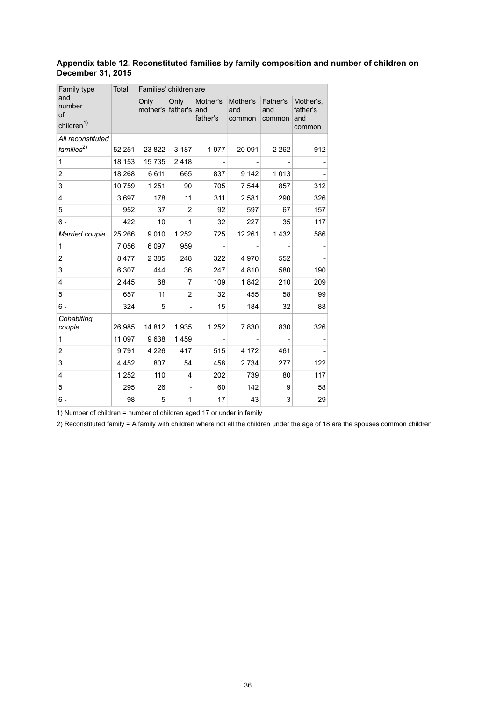#### <span id="page-35-0"></span>**Appendix table 12. Reconstituted families by family composition and number of children on December 31, 2015**

| Family type                                   | Total   | Families' children are    |                |                             |                           |                           |                                        |
|-----------------------------------------------|---------|---------------------------|----------------|-----------------------------|---------------------------|---------------------------|----------------------------------------|
| and<br>number<br>of<br>children <sup>1)</sup> |         | Only<br>mother's father's | Only           | Mother's<br>and<br>father's | Mother's<br>and<br>common | Father's<br>and<br>common | Mother's,<br>father's<br>and<br>common |
| All reconstituted<br>$f$ amilies $^{2)}$      | 52 251  | 23 822                    | 3 1 8 7        | 1977                        | 20 091                    | 2 2 6 2                   | 912                                    |
| $\mathbf{1}$                                  | 18 153  | 15735                     | 2418           |                             |                           |                           |                                        |
| 2                                             | 18 268  | 6611                      | 665            | 837                         | 9 1 4 2                   | 1013                      |                                        |
| 3                                             | 10759   | 1 2 5 1                   | 90             | 705                         | 7 5 4 4                   | 857                       | 312                                    |
| $\overline{4}$                                | 3697    | 178                       | 11             | 311                         | 2581                      | 290                       | 326                                    |
| 5                                             | 952     | 37                        | $\overline{2}$ | 92                          | 597                       | 67                        | 157                                    |
| $6 -$                                         | 422     | 10                        | 1              | 32                          | 227                       | 35                        | 117                                    |
| Married couple                                | 25 266  | 9010                      | 1 2 5 2        | 725                         | 12 2 61                   | 1 4 3 2                   | 586                                    |
| 1                                             | 7 0 5 6 | 6 0 9 7                   | 959            |                             |                           |                           |                                        |
| 2                                             | 8477    | 2 3 8 5                   | 248            | 322                         | 4970                      | 552                       |                                        |
| 3                                             | 6 3 0 7 | 444                       | 36             | 247                         | 4810                      | 580                       | 190                                    |
| 4                                             | 2 4 4 5 | 68                        | 7              | 109                         | 1842                      | 210                       | 209                                    |
| 5                                             | 657     | 11                        | $\overline{2}$ | 32                          | 455                       | 58                        | 99                                     |
| $6 -$                                         | 324     | 5                         |                | 15                          | 184                       | 32                        | 88                                     |
| Cohabiting<br>couple                          | 26 985  | 14812                     | 1935           | 1 252                       | 7830                      | 830                       | 326                                    |
| 1                                             | 11 097  | 9638                      | 1459           |                             |                           |                           |                                        |
| 2                                             | 9791    | 4 2 2 6                   | 417            | 515                         | 4 172                     | 461                       |                                        |
| 3                                             | 4 4 5 2 | 807                       | 54             | 458                         | 2 7 3 4                   | 277                       | 122                                    |
| $\overline{4}$                                | 1 2 5 2 | 110                       | 4              | 202                         | 739                       | 80                        | 117                                    |
| 5                                             | 295     | 26                        |                | 60                          | 142                       | 9                         | 58                                     |
| $6 -$                                         | 98      | 5                         | 1              | 17                          | 43                        | 3                         | 29                                     |

1) Number of children = number of children aged 17 or under in family

2) Reconstituted family = A family with children where not all the children under the age of 18 are the spouses common children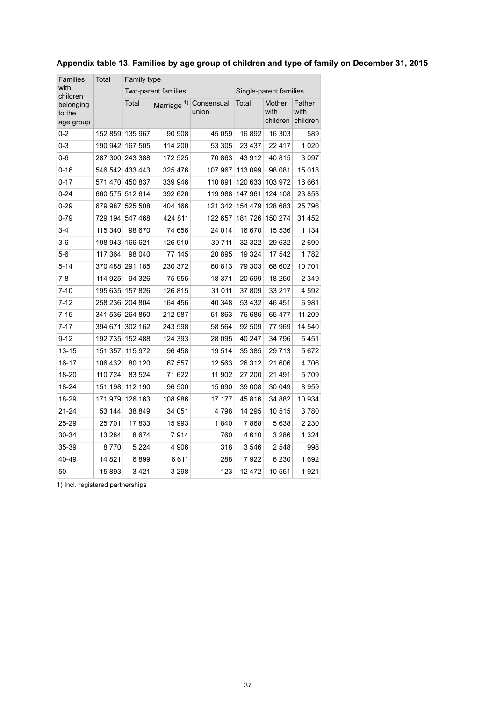| <b>Families</b>                  | Total   | Family type     |                        |                     |              |                            |                            |  |  |  |  |
|----------------------------------|---------|-----------------|------------------------|---------------------|--------------|----------------------------|----------------------------|--|--|--|--|
| with<br>children                 |         |                 | Two-parent families    |                     |              | Single-parent families     |                            |  |  |  |  |
| belonging<br>to the<br>age group |         | Total           | Marriage <sup>1)</sup> | Consensual<br>union | <b>Total</b> | Mother<br>with<br>children | Father<br>with<br>children |  |  |  |  |
| $0 - 2$                          | 152 859 | 135 967         | 90 908                 | 45 059              | 16892        | 16 303                     | 589                        |  |  |  |  |
| 0-3                              | 190 942 | 167 505         | 114 200                | 53 305              | 23 4 3 7     | 22 4 1 7                   | 1020                       |  |  |  |  |
| 0-6                              |         | 287 300 243 388 | 172 525                | 70 863              | 43912        | 40 815                     | 3097                       |  |  |  |  |
| $0 - 16$                         | 546 542 | 433 443         | 325 476                | 107 967             | 113 099      | 98 081                     | 15018                      |  |  |  |  |
| $0 - 17$                         | 571 470 | 450 837         | 339 946                | 110 891             | 120 633      | 103 972                    | 16 661                     |  |  |  |  |
| $0 - 24$                         | 660 575 | 512 614         | 392 626                | 119 988             | 147 961      | 124 108                    | 23 853                     |  |  |  |  |
| $0 - 29$                         | 679 987 | 525 508         | 404 166                | 121 342             | 154 479      | 128 683                    | 25796                      |  |  |  |  |
| 0-79                             | 729 194 | 547 468         | 424 811                | 122 657             | 181726       | 150 274                    | 31 452                     |  |  |  |  |
| 3-4                              | 115 340 | 98 670          | 74 656                 | 24 014              | 16 670       | 15 536                     | 1 1 3 4                    |  |  |  |  |
| $3-6$                            | 198 943 | 166 621         | 126910                 | 39 7 11             | 32 322       | 29 632                     | 2690                       |  |  |  |  |
| $5-6$                            | 117 364 | 98 040          | 77 145                 | 20895               | 19 3 24      | 17 542                     | 1782                       |  |  |  |  |
| $5 - 14$                         | 370 488 | 291 185         | 230 372                | 60813               | 79 303       | 68 602                     | 10701                      |  |  |  |  |
| 7-8                              | 114 925 | 94 326          | 75 955                 | 18 371              | 20 599       | 18 250                     | 2 3 4 9                    |  |  |  |  |
| $7 - 10$                         | 195 635 | 157 826         | 126 815                | 31 011              | 37809        | 33 217                     | 4592                       |  |  |  |  |
| $7 - 12$                         |         | 258 236 204 804 | 164 456                | 40 348              | 53 4 32      | 46 451                     | 6981                       |  |  |  |  |
| $7 - 15$                         | 341 536 | 264 850         | 212 987                | 51863               | 76 686       | 65 477                     | 11 209                     |  |  |  |  |
| $7 - 17$                         | 394 671 | 302 162         | 243 598                | 58 564              | 92 509       | 77969                      | 14 540                     |  |  |  |  |
| $9 - 12$                         | 192 735 | 152 488         | 124 393                | 28 095              | 40 247       | 34 796                     | 5451                       |  |  |  |  |
| $13 - 15$                        | 151 357 | 115 972         | 96 458                 | 19514               | 35 385       | 29 713                     | 5672                       |  |  |  |  |
| 16-17                            | 106 432 | 80 120          | 67 557                 | 12 563              | 26 312       | 21 606                     | 4706                       |  |  |  |  |
| 18-20                            | 110 724 | 83 524          | 71622                  | 11 902              | 27 200       | 21 491                     | 5709                       |  |  |  |  |
| 18-24                            | 151 198 | 112 190         | 96 500                 | 15 690              | 39 008       | 30 049                     | 8959                       |  |  |  |  |
| 18-29                            | 171 979 | 126 163         | 108 986                | 17 177              | 45816        | 34 882                     | 10 934                     |  |  |  |  |
| 21-24                            | 53 144  | 38 849          | 34 051                 | 4798                | 14 295       | 10 515                     | 3780                       |  |  |  |  |
| 25-29                            | 25 701  | 17833           | 15 993                 | 1840                | 7868         | 5638                       | 2 2 3 0                    |  |  |  |  |
| 30-34                            | 13 284  | 8674            | 7914                   | 760                 | 4610         | 3 2 8 6                    | 1 3 2 4                    |  |  |  |  |
| 35-39                            | 8 770   | 5 2 2 4         | 4906                   | 318                 | 3546         | 2 548                      | 998                        |  |  |  |  |
| 40-49                            | 14 821  | 6899            | 6611                   | 288                 | 7922         | 6 230                      | 1692                       |  |  |  |  |
| $50 -$                           | 15893   | 3421            | 3 2 9 8                | 123                 | 12472        | 10 551                     | 1921                       |  |  |  |  |

### <span id="page-36-0"></span>**Appendix table 13. Families by age group of children and type of family on December 31, 2015**

1) Incl. registered partnerships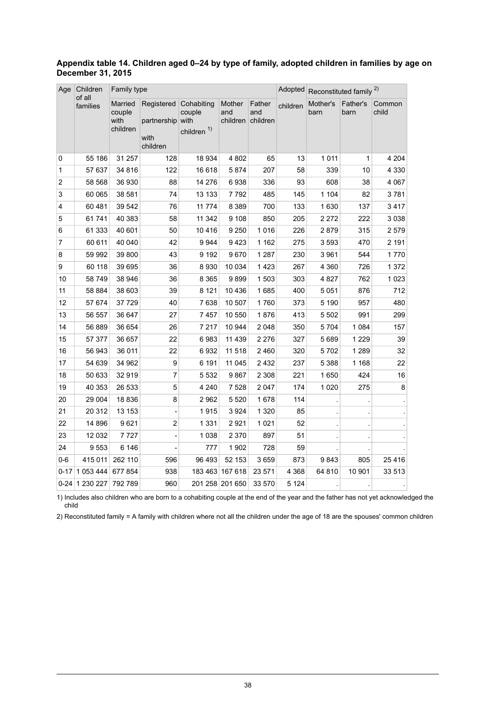| Age                     | Children<br>of all | Family type                           |                                                          |                                          |                           |                           | Adopted  | Reconstituted family <sup>2)</sup> |                  |                 |  |
|-------------------------|--------------------|---------------------------------------|----------------------------------------------------------|------------------------------------------|---------------------------|---------------------------|----------|------------------------------------|------------------|-----------------|--|
|                         | families           | Married<br>couple<br>with<br>children | Registered Cohabiting<br>partnership<br>with<br>children | couple<br>with<br>children <sup>1)</sup> | Mother<br>and<br>children | Father<br>and<br>children | children | Mother's<br>barn                   | Father's<br>barn | Common<br>child |  |
| 0                       | 55 186             | 31 257                                | 128                                                      | 18 934                                   | 4 802                     | 65                        | 13       | 1 0 1 1                            | 1                | 4 2 0 4         |  |
| $\mathbf{1}$            | 57 637             | 34 816                                | 122                                                      | 16 618                                   | 5874                      | 207                       | 58       | 339                                | 10               | 4 3 3 0         |  |
| $\overline{\mathbf{c}}$ | 58 568             | 36 930                                | 88                                                       | 14 276                                   | 6938                      | 336                       | 93       | 608                                | 38               | 4 0 6 7         |  |
| 3                       | 60 065             | 38 581                                | 74                                                       | 13 133                                   | 7792                      | 485                       | 145      | 1 104                              | 82               | 3781            |  |
| 4                       | 60 481             | 39 542                                | 76                                                       | 11 7 7 4                                 | 8 3 8 9                   | 700                       | 133      | 1630                               | 137              | 3417            |  |
| 5                       | 61741              | 40 383                                | 58                                                       | 11 342                                   | 9 1 0 8                   | 850                       | 205      | 2 2 7 2                            | 222              | 3038            |  |
| 6                       | 61 333             | 40 601                                | 50                                                       | 10 4 16                                  | 9 2 5 0                   | 1016                      | 226      | 2879                               | 315              | 2579            |  |
| 7                       | 60 611             | 40 040                                | 42                                                       | 9944                                     | 9423                      | 1 1 6 2                   | 275      | 3593                               | 470              | 2 1 9 1         |  |
| 8                       | 59 992             | 39 800                                | 43                                                       | 9 1 9 2                                  | 9670                      | 1 2 8 7                   | 230      | 3 9 6 1                            | 544              | 1770            |  |
| 9                       | 60 118             | 39 695                                | 36                                                       | 8930                                     | 10 0 34                   | 1423                      | 267      | 4 3 6 0                            | 726              | 1 3 7 2         |  |
| 10                      | 58 749             | 38 946                                | 36                                                       | 8 3 6 5                                  | 9899                      | 1503                      | 303      | 4 8 27                             | 762              | 1 0 2 3         |  |
| 11                      | 58 884             | 38 603                                | 39                                                       | 8 1 2 1                                  | 10 4 36                   | 1685                      | 400      | 5 0 5 1                            | 876              | 712             |  |
| 12                      | 57 674             | 37729                                 | 40                                                       | 7638                                     | 10 507                    | 1760                      | 373      | 5 1 9 0                            | 957              | 480             |  |
| 13                      | 56 557             | 36 647                                | 27                                                       | 7457                                     | 10 550                    | 1876                      | 413      | 5 5 0 2                            | 991              | 299             |  |
| 14                      | 56 889             | 36 654                                | 26                                                       | 7 2 1 7                                  | 10 944                    | 2 0 4 8                   | 350      | 5 7 0 4                            | 1 0 8 4          | 157             |  |
| 15                      | 57 377             | 36 657                                | 22                                                       | 6983                                     | 11 439                    | 2 2 7 6                   | 327      | 5 6 8 9                            | 1 2 2 9          | 39              |  |
| 16                      | 56 943             | 36 011                                | 22                                                       | 6932                                     | 11 518                    | 2 4 6 0                   | 320      | 5702                               | 1 2 8 9          | 32              |  |
| 17                      | 54 639             | 34 962                                | 9                                                        | 6 191                                    | 11 045                    | 2432                      | 237      | 5 3 8 8                            | 1 1 6 8          | 22              |  |
| 18                      | 50 633             | 32919                                 | $\overline{7}$                                           | 5 5 3 2                                  | 9867                      | 2 3 0 8                   | 221      | 1650                               | 424              | 16              |  |
| 19                      | 40 353             | 26 533                                | 5                                                        | 4 2 4 0                                  | 7 5 28                    | 2 0 4 7                   | 174      | 1 0 2 0                            | 275              | 8               |  |
| 20                      | 29 004             | 18836                                 | 8                                                        | 2962                                     | 5 5 20                    | 1678                      | 114      |                                    |                  |                 |  |
| 21                      | 20 312             | 13 153                                |                                                          | 1915                                     | 3 9 2 4                   | 1 3 2 0                   | 85       |                                    |                  |                 |  |
| 22                      | 14 8 96            | 9621                                  | $\overline{2}$                                           | 1 3 3 1                                  | 2921                      | 1 0 2 1                   | 52       |                                    |                  |                 |  |
| 23                      | 12 032             | 7727                                  |                                                          | 1038                                     | 2 3 7 0                   | 897                       | 51       |                                    |                  |                 |  |
| 24                      | 9553               | 6 14 6                                |                                                          | 777                                      | 1 902                     | 728                       | 59       |                                    |                  |                 |  |
| $0-6$                   | 415 011            | 262 110                               | 596                                                      | 96 493                                   | 52 153                    | 3659                      | 873      | 9843                               | 805              | 25416           |  |
| $0 - 17$                | 1 053 444          | 677854                                | 938                                                      |                                          | 183 463 167 618           | 23 571                    | 4 3 6 8  | 64 810                             | 10 901           | 33 513          |  |
|                         | 0-24 1 230 227     | 792 789                               | 960                                                      |                                          | 201 258 201 650           | 33 570                    | 5 1 2 4  |                                    |                  |                 |  |

#### <span id="page-37-0"></span>**Appendix table 14. Children aged 0–24 by type of family, adopted children in families by age on December 31, 2015**

1) Includes also children who are born to a cohabiting couple at the end of the year and the father has not yet acknowledged the child

2) Reconstituted family = A family with children where not all the children under the age of 18 are the spouses' common children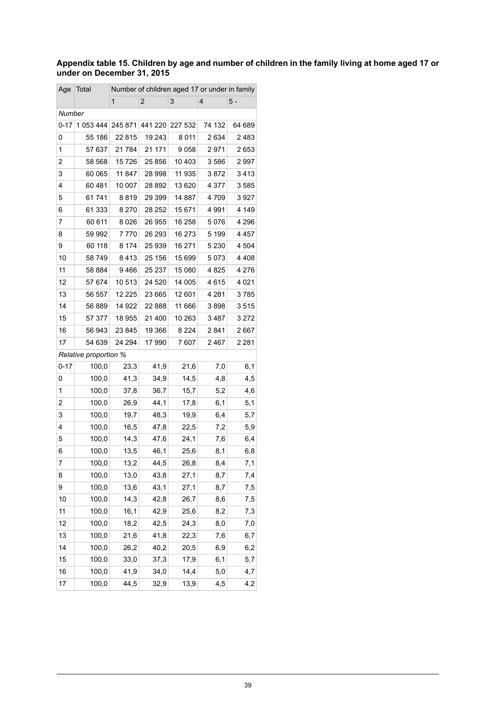#### <span id="page-38-0"></span>Appendix table 15. Children by age and number of children in the family living at home aged 17 or **under on December 31, 2015**

| Age      | Total                        |          |                |         | Number of children aged 17 or under in family |         |
|----------|------------------------------|----------|----------------|---------|-----------------------------------------------|---------|
|          |                              | 1        | $\overline{2}$ | 3       | 4                                             | 5 -     |
| Number   |                              |          |                |         |                                               |         |
| $0 - 17$ | 1 053 444                    | 245 871  | 441 220        | 227 532 | 74 132                                        | 64 689  |
| 0        | 55 186                       | 22 815   | 19 243         | 8 0 1 1 | 2634                                          | 2483    |
| 1        | 57 637                       | 21 784   | 21 171         | 9058    | 2971                                          | 2653    |
| 2        | 58 568                       | 15726    | 25 856         | 10 403  | 3586                                          | 2997    |
| 3        | 60 065                       | 11 847   | 28 998         | 11 935  | 3872                                          | 3413    |
| 4        | 60481                        | 10 007   | 28 892         | 13 620  | 4 377                                         | 3585    |
| 5        | 61 741                       | 8819     | 29 399         | 14 887  | 4709                                          | 3927    |
| 6        | 61 333                       | 8270     | 28 252         | 15 671  | 4991                                          | 4 149   |
| 7        | 60 611                       | 8026     | 26 955         | 16 258  | 5076                                          | 4 2 9 6 |
| 8        | 59 992                       | 7770     | 26 293         | 16 273  | 5 1 9 9                                       | 4 4 5 7 |
| 9        | 60 118                       | 8 1 7 4  | 25 939         | 16 271  | 5 2 3 0                                       | 4 504   |
| 10       | 58749                        | 8413     | 25 156         | 15 699  | 5073                                          | 4 4 0 8 |
| 11       | 58 884                       | 9466     | 25 237         | 15 080  | 4825                                          | 4 2 7 6 |
| 12       | 57 674                       | 10513    | 24 5 20        | 14 005  | 4615                                          | 4 0 21  |
| 13       | 56 557                       | 12 2 2 5 | 23 665         | 12 601  | 4 2 8 1                                       | 3785    |
| 14       | 56889                        | 14 922   | 22 888         | 11 666  | 3898                                          | 3515    |
| 15       | 57 377                       | 18 955   | 21 400         | 10 263  | 3487                                          | 3 2 7 2 |
| 16       | 56 943                       | 23 845   | 19 366         | 8 2 2 4 | 2841                                          | 2667    |
| 17       | 54 639                       | 24 294   | 17 990         | 7607    | 2467                                          | 2 2 8 1 |
|          | <b>Relative proportion %</b> |          |                |         |                                               |         |
| 0-17     | 100,0                        | 23,3     | 41,9           | 21,6    | 7,0                                           | 6,1     |
| 0        | 100,0                        | 41,3     | 34,9           | 14,5    | 4,8                                           | 4,5     |
| 1        | 100,0                        | 37,8     | 36,7           | 15,7    | 5,2                                           | 4,6     |
| 2        | 100,0                        | 26,9     | 44,1           | 17,8    | 6,1                                           | 5,1     |
| 3        | 100,0                        | 19,7     | 48,3           | 19,9    | 6,4                                           | 5,7     |
| 4        | 100,0                        | 16,5     | 47,8           | 22,5    | 7,2                                           | 5,9     |
| 5        | 100,0                        | 14,3     | 47,6           | 24,1    | 7,6                                           | 6,4     |
| 6        | 100,0                        | 13,5     | 46,1           | 25,6    | 8,1                                           | 6,8     |
| 7        | 100,0                        | 13,2     | 44,5           | 26,8    | 8,4                                           | 7,1     |
| 8        | 100,0                        | 13,0     | 43,8           | 27,1    | 8,7                                           | 7,4     |
| 9        | 100,0                        | 13,6     | 43,1           | 27,1    | 8,7                                           | 7,5     |
| 10       | 100,0                        | 14,3     | 42,8           | 26,7    | 8,6                                           | 7,5     |
| 11       | 100,0                        | 16,1     | 42,9           | 25,6    | 8,2                                           | 7,3     |
| 12       | 100,0                        | 18,2     | 42,5           | 24,3    | 8,0                                           | 7,0     |
| 13       | 100,0                        | 21,6     | 41,8           | 22,3    | 7,6                                           | 6,7     |
| 14       | 100,0                        | 26,2     | 40,2           | 20,5    | 6,9                                           | 6,2     |
| 15       | 100,0                        | 33,0     | 37,3           | 17,9    | 6,1                                           | 5,7     |
| 16       | 100,0                        | 41,9     | 34,0           | 14,4    | 5,0                                           | 4,7     |
| 17       | 100,0                        | 44,5     | 32,9           | 13,9    | 4,5                                           | 4,2     |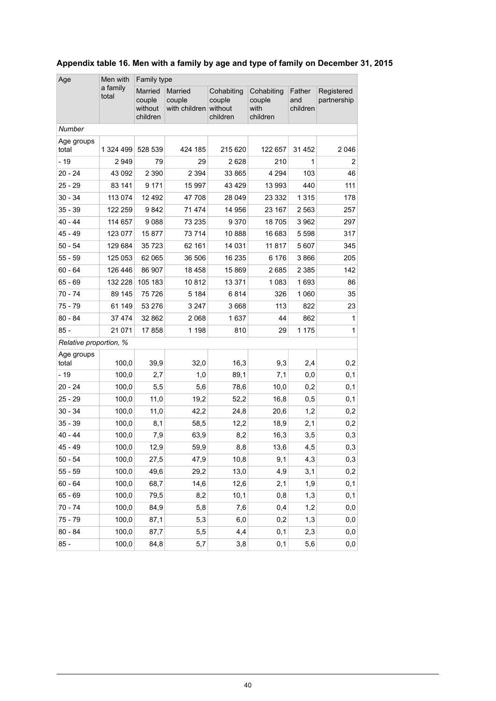| Age                    | Men with          |                                          | Family type                        |                                             |                                          |                           |                           |  |  |  |  |  |
|------------------------|-------------------|------------------------------------------|------------------------------------|---------------------------------------------|------------------------------------------|---------------------------|---------------------------|--|--|--|--|--|
|                        | a family<br>total | Married<br>couple<br>without<br>children | Married<br>couple<br>with children | Cohabiting<br>couple<br>without<br>children | Cohabiting<br>couple<br>with<br>children | Father<br>and<br>children | Registered<br>partnership |  |  |  |  |  |
| Number                 |                   |                                          |                                    |                                             |                                          |                           |                           |  |  |  |  |  |
| Age groups<br>total    | 1 324 499         | 528 539                                  | 424 185                            | 215 620                                     | 122 657                                  | 31 452                    | 2 0 4 6                   |  |  |  |  |  |
| $-19$                  | 2 949             | 79                                       | 29                                 | 2628                                        | 210                                      | 1                         | 2                         |  |  |  |  |  |
| $20 - 24$              | 43 092            | 2 3 9 0                                  | 2 3 9 4                            | 33 865                                      | 4 2 9 4                                  | 103                       | 46                        |  |  |  |  |  |
| $25 - 29$              | 83 141            | 9 1 7 1                                  | 15 997                             | 43 4 29                                     | 13 993                                   | 440                       | 111                       |  |  |  |  |  |
| $30 - 34$              | 113 074           | 12 492                                   | 47 708                             | 28 049                                      | 23 332                                   | 1 3 1 5                   | 178                       |  |  |  |  |  |
| $35 - 39$              | 122 259           | 9842                                     | 71 474                             | 14 956                                      | 23 167                                   | 2 5 6 3                   | 257                       |  |  |  |  |  |
| 40 - 44                | 114 657           | 9088                                     | 73 235                             | 9370                                        | 18705                                    | 3 9 6 2                   | 297                       |  |  |  |  |  |
| $45 - 49$              | 123 077           | 15 877                                   | 73 714                             | 10888                                       | 16 683                                   | 5 5 9 8                   | 317                       |  |  |  |  |  |
| $50 - 54$              | 129 684           | 35 7 23                                  | 62 161                             | 14 031                                      | 11 817                                   | 5 607                     | 345                       |  |  |  |  |  |
| $55 - 59$              | 125 053           | 62 065                                   | 36 506                             | 16 235                                      | 6 176                                    | 3866                      | 205                       |  |  |  |  |  |
| $60 - 64$              | 126 446           | 86 907                                   | 18 4 58                            | 15 869                                      | 2685                                     | 2 3 8 5                   | 142                       |  |  |  |  |  |
| $65 - 69$              | 132 228           | 105 183                                  | 10812                              | 13 371                                      | 1 0 8 3                                  | 1693                      | 86                        |  |  |  |  |  |
| $70 - 74$              | 89 145            | 75 726                                   | 5 1 8 4                            | 6814                                        | 326                                      | 1 0 6 0                   | 35                        |  |  |  |  |  |
| $75 - 79$              | 61 149            | 53 276                                   | 3 2 4 7                            | 3668                                        | 113                                      | 822                       | 23                        |  |  |  |  |  |
| $80 - 84$              | 37 474            | 32 862                                   | 2 0 6 8                            | 1637                                        | 44                                       | 862                       | $\mathbf{1}$              |  |  |  |  |  |
| $85 -$                 | 21 071            | 17858                                    | 1 1 9 8                            | 810                                         | 29                                       | 1 1 7 5                   | $\mathbf{1}$              |  |  |  |  |  |
| Relative proportion, % |                   |                                          |                                    |                                             |                                          |                           |                           |  |  |  |  |  |
| Age groups<br>total    | 100,0             | 39,9                                     | 32,0                               | 16,3                                        | 9,3                                      | 2,4                       | 0,2                       |  |  |  |  |  |
| $-19$                  | 100,0             | 2,7                                      | 1,0                                | 89,1                                        | 7,1                                      | 0,0                       | 0,1                       |  |  |  |  |  |
| $20 - 24$              | 100,0             | 5,5                                      | 5,6                                | 78,6                                        | 10,0                                     | 0,2                       | 0,1                       |  |  |  |  |  |
| 25 - 29                | 100,0             | 11,0                                     | 19,2                               | 52,2                                        | 16,8                                     | 0,5                       | 0,1                       |  |  |  |  |  |
| $30 - 34$              | 100,0             | 11,0                                     | 42,2                               | 24,8                                        | 20,6                                     | 1,2                       | 0,2                       |  |  |  |  |  |
| $35 - 39$              | 100,0             | 8,1                                      | 58,5                               | 12,2                                        | 18,9                                     | 2,1                       | 0,2                       |  |  |  |  |  |
| $40 - 44$              | 100,0             | 7,9                                      | 63,9                               | 8,2                                         | 16,3                                     | 3,5                       | 0,3                       |  |  |  |  |  |
| 45 - 49                | 100,0             | 12,9                                     | 59,9                               | 8,8                                         | 13,6                                     | 4,5                       | $_{\rm 0,3}$              |  |  |  |  |  |
| $50 - 54$              | 100,0             | 27,5                                     | 47,9                               | 10,8                                        | 9,1                                      | 4,3                       | 0,3                       |  |  |  |  |  |
| $55 - 59$              | 100,0             | 49,6                                     | 29,2                               | 13,0                                        | 4,9                                      | 3,1                       | 0,2                       |  |  |  |  |  |
| $60 - 64$              | 100,0             | 68,7                                     | 14,6                               | 12,6                                        | 2,1                                      | 1,9                       | 0,1                       |  |  |  |  |  |
| 65 - 69                | 100,0             | 79,5                                     | 8,2                                | 10,1                                        | 0,8                                      | 1,3                       | 0,1                       |  |  |  |  |  |
| $70 - 74$              | 100,0             | 84,9                                     | 5,8                                | 7,6                                         | 0,4                                      | 1,2                       | 0,0                       |  |  |  |  |  |
| $75 - 79$              | 100,0             | 87,1                                     | 5,3                                | 6,0                                         | 0,2                                      | 1,3                       | 0,0                       |  |  |  |  |  |
| $80 - 84$              | 100,0             | 87,7                                     | 5,5                                | 4,4                                         | 0,1                                      | 2,3                       | 0,0                       |  |  |  |  |  |
| $85 -$                 | 100,0             | 84,8                                     | 5,7                                | 3,8                                         | 0,1                                      | 5,6                       | 0,0                       |  |  |  |  |  |

### <span id="page-39-0"></span>**Appendix table 16. Men with a family by age and type of family on December 31, 2015**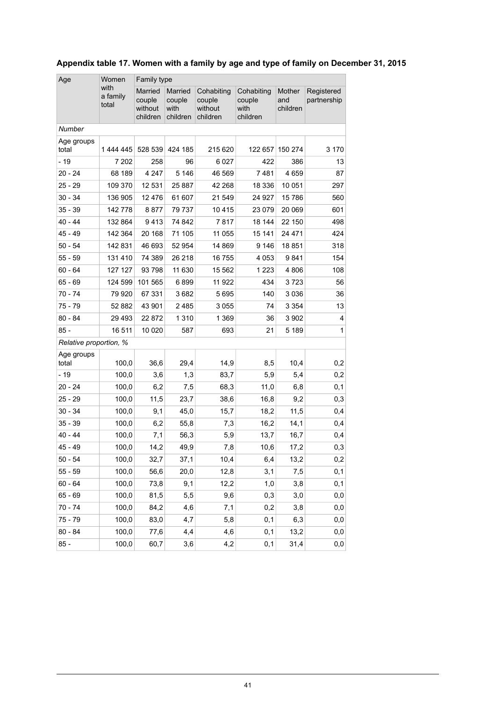| Age                    | Women                     |                                          | Family type                           |                                             |                                          |                           |                           |  |  |  |  |  |
|------------------------|---------------------------|------------------------------------------|---------------------------------------|---------------------------------------------|------------------------------------------|---------------------------|---------------------------|--|--|--|--|--|
|                        | with<br>a family<br>total | Married<br>couple<br>without<br>children | Married<br>couple<br>with<br>children | Cohabiting<br>couple<br>without<br>children | Cohabiting<br>couple<br>with<br>children | Mother<br>and<br>children | Registered<br>partnership |  |  |  |  |  |
| Number                 |                           |                                          |                                       |                                             |                                          |                           |                           |  |  |  |  |  |
| Age groups<br>total    | 1 444 445                 | 528 539                                  | 424 185                               | 215 620                                     | 122 657                                  | 150 274                   | 3 1 7 0                   |  |  |  |  |  |
| $-19$                  | 7 202                     | 258                                      | 96                                    | 6 0 27                                      | 422                                      | 386                       | 13                        |  |  |  |  |  |
| $20 - 24$              | 68 189                    | 4 2 4 7                                  | 5 1 4 6                               | 46 569                                      | 7481                                     | 4659                      | 87                        |  |  |  |  |  |
| 25 - 29                | 109 370                   | 12 531                                   | 25 887                                | 42 268                                      | 18 336                                   | 10 051                    | 297                       |  |  |  |  |  |
| $30 - 34$              | 136 905                   | 12 4 7 6                                 | 61 607                                | 21 549                                      | 24 9 27                                  | 15 786                    | 560                       |  |  |  |  |  |
| $35 - 39$              | 142 778                   | 8877                                     | 79 737                                | 10415                                       | 23 0 79                                  | 20 069                    | 601                       |  |  |  |  |  |
| 40 - 44                | 132 864                   | 9413                                     | 74 842                                | 7817                                        | 18 144                                   | 22 150                    | 498                       |  |  |  |  |  |
| 45 - 49                | 142 364                   | 20 168                                   | 71 105                                | 11 055                                      | 15 141                                   | 24 4 7 1                  | 424                       |  |  |  |  |  |
| $50 - 54$              | 142 831                   | 46 693                                   | 52 954                                | 14 869                                      | 9 1 4 6                                  | 18851                     | 318                       |  |  |  |  |  |
| 55 - 59                | 131 410                   | 74 389                                   | 26 218                                | 16 755                                      | 4 0 5 3                                  | 9841                      | 154                       |  |  |  |  |  |
| $60 - 64$              | 127 127                   | 93798                                    | 11 630                                | 15 562                                      | 1 2 2 3                                  | 4 806                     | 108                       |  |  |  |  |  |
| 65 - 69                | 124 599                   | 101 565                                  | 6899                                  | 11 922                                      | 434                                      | 3723                      | 56                        |  |  |  |  |  |
| 70 - 74                | 79 9 20                   | 67 331                                   | 3682                                  | 5695                                        | 140                                      | 3036                      | 36                        |  |  |  |  |  |
| 75 - 79                | 52 882                    | 43 901                                   | 2485                                  | 3 0 5 5                                     | 74                                       | 3 3 5 4                   | 13                        |  |  |  |  |  |
| $80 - 84$              | 29 4 9 3                  | 22 872                                   | 1 3 1 0                               | 1 3 6 9                                     | 36                                       | 3 9 0 2                   | 4                         |  |  |  |  |  |
| $85 -$                 | 16 511                    | 10 0 20                                  | 587                                   | 693                                         | 21                                       | 5 1 8 9                   | 1                         |  |  |  |  |  |
| Relative proportion, % |                           |                                          |                                       |                                             |                                          |                           |                           |  |  |  |  |  |
| Age groups<br>total    | 100,0                     | 36,6                                     | 29,4                                  | 14,9                                        | 8,5                                      | 10,4                      | 0,2                       |  |  |  |  |  |
| $-19$                  | 100,0                     | 3,6                                      | 1,3                                   | 83,7                                        | 5,9                                      | 5,4                       | 0,2                       |  |  |  |  |  |
| $20 - 24$              | 100,0                     | 6,2                                      | 7,5                                   | 68,3                                        | 11,0                                     | 6,8                       | 0,1                       |  |  |  |  |  |
| 25 - 29                | 100,0                     | 11,5                                     | 23,7                                  | 38,6                                        | 16,8                                     | 9,2                       | 0,3                       |  |  |  |  |  |
| $30 - 34$              | 100,0                     | 9,1                                      | 45,0                                  | 15,7                                        | 18,2                                     | 11,5                      | 0,4                       |  |  |  |  |  |
| 35 - 39                | 100,0                     | 6,2                                      | 55,8                                  | 7,3                                         | 16,2                                     | 14,1                      | 0,4                       |  |  |  |  |  |
| $40 - 44$              | 100,0                     | 7,1                                      | 56,3                                  | 5,9                                         | 13,7                                     | 16,7                      | 0,4                       |  |  |  |  |  |
| 45 - 49                | 100,0                     | 14,2                                     | 49,9                                  | 7,8                                         | 10,6                                     | 17,2                      | $_{\rm 0,3}$              |  |  |  |  |  |
| $50 - 54$              | 100,0                     | 32,7                                     | 37,1                                  | 10,4                                        | 6,4                                      | 13,2                      | 0,2                       |  |  |  |  |  |
| $55 - 59$              | 100,0                     | 56,6                                     | 20,0                                  | 12,8                                        | 3,1                                      | 7,5                       | 0,1                       |  |  |  |  |  |
| $60 - 64$              | 100,0                     | 73,8                                     | 9,1                                   | 12,2                                        | 1,0                                      | 3,8                       | 0,1                       |  |  |  |  |  |
| $65 - 69$              | 100,0                     | 81,5                                     | 5,5                                   | 9,6                                         | 0,3                                      | 3,0                       | 0,0                       |  |  |  |  |  |
| $70 - 74$              | 100,0                     | 84,2                                     | 4,6                                   | 7,1                                         | 0,2                                      | 3,8                       | 0,0                       |  |  |  |  |  |
| 75 - 79                | 100,0                     | 83,0                                     | 4,7                                   | 5,8                                         | 0,1                                      | 6,3                       | 0,0                       |  |  |  |  |  |
| $80 - 84$              | 100,0                     | 77,6                                     | 4,4                                   | 4,6                                         | 0,1                                      | 13,2                      | 0,0                       |  |  |  |  |  |
| $85 -$                 | 100,0                     | 60,7                                     | 3,6                                   | 4,2                                         | 0,1                                      | 31,4                      | 0,0                       |  |  |  |  |  |

### <span id="page-40-0"></span>**Appendix table 17. Women with a family by age and type of family on December 31, 2015**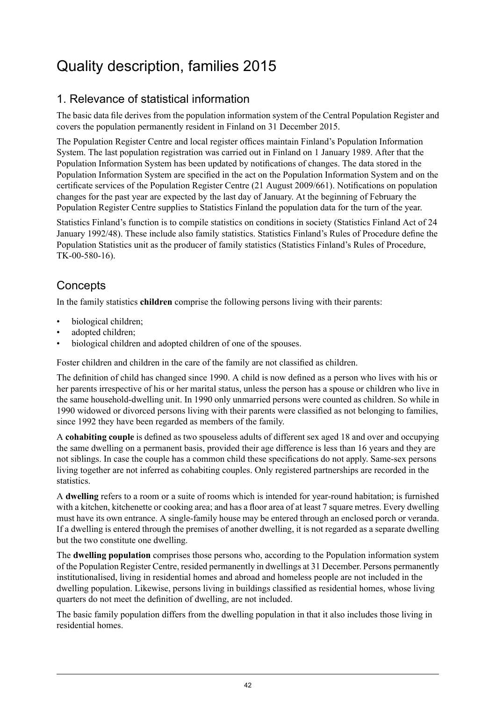## <span id="page-41-0"></span>Quality description, families 2015

## 1. Relevance of statistical information

The basic data file derives from the population information system of the Central Population Register and covers the population permanently resident in Finland on 31 December 2015.

The Population Register Centre and local register offices maintain Finland's Population Information System. The last population registration was carried out in Finland on 1 January 1989. After that the Population Information System has been updated by notifications of changes. The data stored in the Population Information System are specified in the act on the Population Information System and on the certificate services of the Population Register Centre (21 August 2009/661). Notifications on population changes for the past year are expected by the last day of January. At the beginning of February the Population Register Centre supplies to Statistics Finland the population data for the turn of the year.

Statistics Finland's function is to compile statistics on conditions in society (Statistics Finland Act of 24 January 1992/48). These include also family statistics. Statistics Finland's Rules of Procedure define the Population Statistics unit as the producer of family statistics (Statistics Finland's Rules of Procedure, TK-00-580-16).

### **Concepts**

In the family statistics **children** comprise the following persons living with their parents:

- biological children;
- adopted children:
- biological children and adopted children of one of the spouses.

Foster children and children in the care of the family are not classified as children.

The definition of child has changed since 1990. A child is now defined as a person who lives with his or her parents irrespective of his or her marital status, unless the person has a spouse or children who live in the same household-dwelling unit. In 1990 only unmarried persons were counted as children. So while in 1990 widowed or divorced persons living with their parents were classified as not belonging to families, since 1992 they have been regarded as members of the family.

A **cohabiting couple** is defined as two spouseless adults of different sex aged 18 and over and occupying the same dwelling on a permanent basis, provided their age difference is less than 16 years and they are not siblings. In case the couple has a common child these specifications do not apply. Same-sex persons living together are not inferred as cohabiting couples. Only registered partnerships are recorded in the statistics.

A **dwelling** refers to a room or a suite of rooms which is intended for year-round habitation; is furnished with a kitchen, kitchenette or cooking area; and has a floor area of at least 7 square metres. Every dwelling must have its own entrance. A single-family house may be entered through an enclosed porch or veranda. If a dwelling is entered through the premises of another dwelling, it is not regarded as a separate dwelling but the two constitute one dwelling.

The **dwelling population** comprises those persons who, according to the Population information system of the Population Register Centre, resided permanently in dwellings at 31 December. Persons permanently institutionalised, living in residential homes and abroad and homeless people are not included in the dwelling population. Likewise, persons living in buildings classified as residential homes, whose living quarters do not meet the definition of dwelling, are not included.

The basic family population differs from the dwelling population in that it also includes those living in residential homes.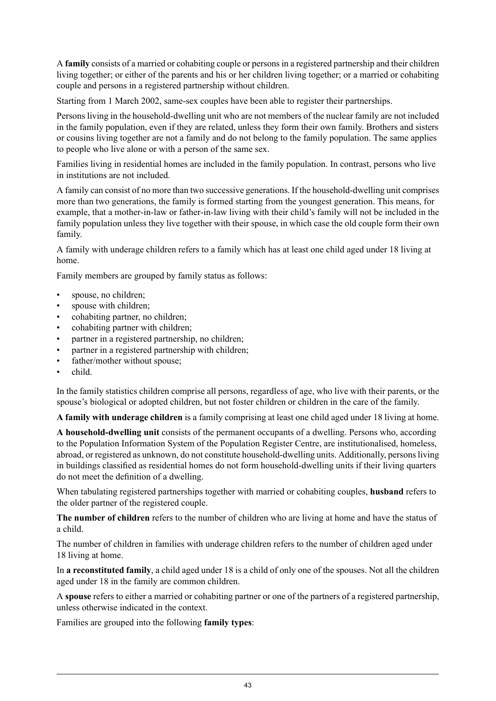A **family** consists of a married or cohabiting couple or personsin a registered partnership and their children living together; or either of the parents and his or her children living together; or a married or cohabiting couple and persons in a registered partnership without children.

Starting from 1 March 2002, same-sex couples have been able to register their partnerships.

Persons living in the household-dwelling unit who are not members of the nuclear family are not included in the family population, even if they are related, unless they form their own family. Brothers and sisters or cousins living together are not a family and do not belong to the family population. The same applies to people who live alone or with a person of the same sex.

Families living in residential homes are included in the family population. In contrast, persons who live in institutions are not included.

A family can consist of no more than two successive generations. If the household-dwelling unit comprises more than two generations, the family is formed starting from the youngest generation. This means, for example, that a mother-in-law or father-in-law living with their child's family will not be included in the family population unless they live together with their spouse, in which case the old couple form their own family.

A family with underage children refers to a family which has at least one child aged under 18 living at home.

Family members are grouped by family status as follows:

- spouse, no children;
- spouse with children:
- cohabiting partner, no children;
- cohabiting partner with children;
- partner in a registered partnership, no children;
- partner in a registered partnership with children;
- father/mother without spouse;
- child.

In the family statistics children comprise all persons, regardless of age, who live with their parents, or the spouse's biological or adopted children, but not foster children or children in the care of the family.

**A family with underage children** is a family comprising at least one child aged under 18 living at home.

**A household-dwelling unit** consists of the permanent occupants of a dwelling. Persons who, according to the Population Information System of the Population Register Centre, are institutionalised, homeless, abroad, or registered as unknown, do not constitute household-dwelling units. Additionally, persons living in buildings classified as residential homes do not form household-dwelling units if their living quarters do not meet the definition of a dwelling.

When tabulating registered partnerships together with married or cohabiting couples, **husband** refers to the older partner of the registered couple.

**The number of children** refers to the number of children who are living at home and have the status of a child.

The number of children in families with underage children refers to the number of children aged under 18 living at home.

In **a reconstituted family**, a child aged under 18 is a child of only one of the spouses. Not all the children aged under 18 in the family are common children.

A **spouse** refers to either a married or cohabiting partner or one of the partners of a registered partnership, unless otherwise indicated in the context.

Families are grouped into the following **family types**: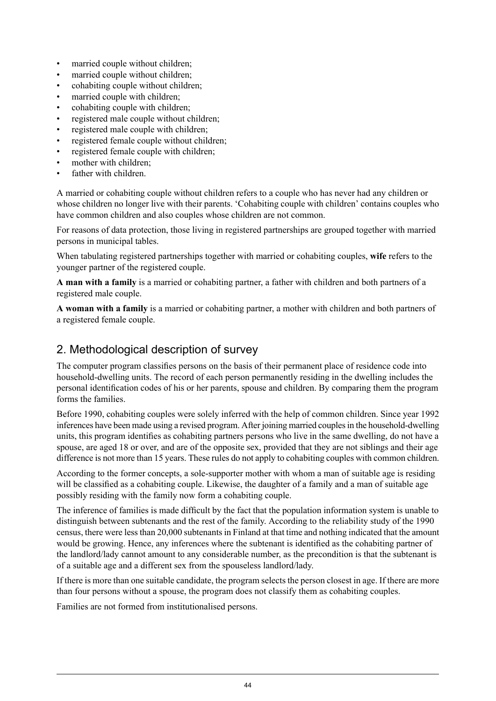- married couple without children:
- married couple without children;
- cohabiting couple without children;
- married couple with children:
- cohabiting couple with children;
- registered male couple without children;
- registered male couple with children;
- registered female couple without children;
- registered female couple with children;
- mother with children:
- father with children.

A married or cohabiting couple without children refers to a couple who has never had any children or whose children no longer live with their parents. 'Cohabiting couple with children' contains couples who have common children and also couples whose children are not common.

For reasons of data protection, those living in registered partnerships are grouped together with married persons in municipal tables.

When tabulating registered partnerships together with married or cohabiting couples, **wife** refers to the younger partner of the registered couple.

**A man with a family** is a married or cohabiting partner, a father with children and both partners of a registered male couple.

**A woman with a family** is a married or cohabiting partner, a mother with children and both partners of a registered female couple.

#### 2. Methodological description of survey

The computer program classifies persons on the basis of their permanent place of residence code into household-dwelling units. The record of each person permanently residing in the dwelling includes the personal identification codes of his or her parents, spouse and children. By comparing them the program forms the families.

Before 1990, cohabiting couples were solely inferred with the help of common children. Since year 1992 inferences have been made using a revised program. After joining married couplesin the household-dwelling units, this program identifies as cohabiting partners persons who live in the same dwelling, do not have a spouse, are aged 18 or over, and are of the opposite sex, provided that they are not siblings and their age difference is not more than 15 years. These rules do not apply to cohabiting couples with common children.

According to the former concepts, a sole-supporter mother with whom a man of suitable age is residing will be classified as a cohabiting couple. Likewise, the daughter of a family and a man of suitable age possibly residing with the family now form a cohabiting couple.

The inference of families is made difficult by the fact that the population information system is unable to distinguish between subtenants and the rest of the family. According to the reliability study of the 1990 census, there were less than 20,000 subtenants in Finland at that time and nothing indicated that the amount would be growing. Hence, any inferences where the subtenant is identified as the cohabiting partner of the landlord/lady cannot amount to any considerable number, as the precondition is that the subtenant is of a suitable age and a different sex from the spouseless landlord/lady.

If there is more than one suitable candidate, the program selects the person closest in age. If there are more than four persons without a spouse, the program does not classify them as cohabiting couples.

Families are not formed from institutionalised persons.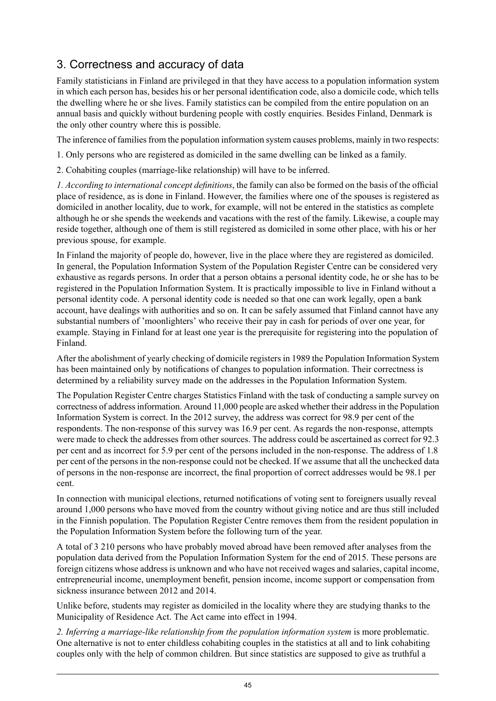## 3. Correctness and accuracy of data

Family statisticians in Finland are privileged in that they have access to a population information system in which each person has, besides his or her personal identification code, also a domicile code, which tells the dwelling where he or she lives. Family statistics can be compiled from the entire population on an annual basis and quickly without burdening people with costly enquiries. Besides Finland, Denmark is the only other country where this is possible.

The inference of families from the population information system causes problems, mainly in two respects:

1. Only persons who are registered as domiciled in the same dwelling can be linked as a family.

2. Cohabiting couples (marriage-like relationship) will have to be inferred.

*1. According to international concept definitions*, the family can also be formed on the basis of the official place of residence, as is done in Finland. However, the families where one of the spouses is registered as domiciled in another locality, due to work, for example, will not be entered in the statistics as complete although he or she spends the weekends and vacations with the rest of the family. Likewise, a couple may reside together, although one of them is still registered as domiciled in some other place, with his or her previous spouse, for example.

In Finland the majority of people do, however, live in the place where they are registered as domiciled. In general, the Population Information System of the Population Register Centre can be considered very exhaustive as regards persons. In order that a person obtains a personal identity code, he or she has to be registered in the Population Information System. It is practically impossible to live in Finland without a personal identity code. A personal identity code is needed so that one can work legally, open a bank account, have dealings with authorities and so on. It can be safely assumed that Finland cannot have any substantial numbers of 'moonlighters' who receive their pay in cash for periods of over one year, for example. Staying in Finland for at least one year is the prerequisite for registering into the population of Finland.

After the abolishment of yearly checking of domicile registers in 1989 the Population Information System has been maintained only by notifications of changes to population information. Their correctness is determined by a reliability survey made on the addresses in the Population Information System.

The Population Register Centre charges Statistics Finland with the task of conducting a sample survey on correctness of addressinformation. Around 11,000 people are asked whether their addressin the Population Information System is correct. In the 2012 survey, the address was correct for 98.9 per cent of the respondents. The non-response of this survey was 16.9 per cent. As regards the non-response, attempts were made to check the addresses from other sources. The address could be ascertained as correct for 92.3 per cent and as incorrect for 5.9 per cent of the persons included in the non-response. The address of 1.8 per cent of the persons in the non-response could not be checked. If we assume that all the unchecked data of persons in the non-response are incorrect, the final proportion of correct addresses would be 98.1 per cent.

In connection with municipal elections, returned notifications of voting sent to foreigners usually reveal around 1,000 persons who have moved from the country without giving notice and are thus still included in the Finnish population. The Population Register Centre removes them from the resident population in the Population Information System before the following turn of the year.

A total of 3 210 persons who have probably moved abroad have been removed after analyses from the population data derived from the Population Information System for the end of 2015. These persons are foreign citizens whose address is unknown and who have not received wages and salaries, capital income, entrepreneurial income, unemployment benefit, pension income, income support or compensation from sickness insurance between 2012 and 2014.

Unlike before, students may register as domiciled in the locality where they are studying thanks to the Municipality of Residence Act. The Act came into effect in 1994.

*2. Inferring a marriage-like relationship from the population information system* is more problematic. One alternative is not to enter childless cohabiting couples in the statistics at all and to link cohabiting couples only with the help of common children. But since statistics are supposed to give as truthful a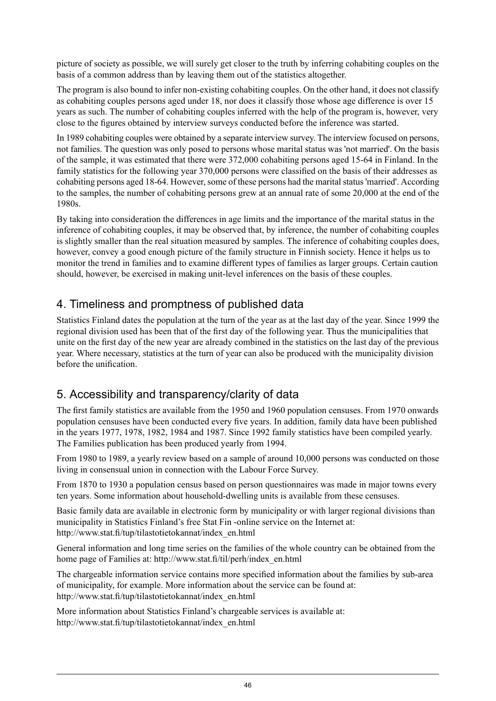picture of society as possible, we will surely get closer to the truth by inferring cohabiting couples on the basis of a common address than by leaving them out of the statistics altogether.

The program is also bound to infer non-existing cohabiting couples. On the other hand, it does not classify as cohabiting couples persons aged under 18, nor does it classify those whose age difference is over 15 years as such. The number of cohabiting couples inferred with the help of the program is, however, very close to the figures obtained by interview surveys conducted before the inference was started.

In 1989 cohabiting couples were obtained by a separate interview survey. The interview focused on persons. not families. The question was only posed to persons whose marital status was 'not married'. On the basis of the sample, it was estimated that there were 372,000 cohabiting persons aged 15-64 in Finland. In the family statistics for the following year 370,000 persons were classified on the basis of their addresses as cohabiting persons aged 18-64. However, some of these persons had the marital status 'married'. According to the samples, the number of cohabiting persons grew at an annual rate of some 20,000 at the end of the 1980s.

By taking into consideration the differences in age limits and the importance of the marital status in the inference of cohabiting couples, it may be observed that, by inference, the number of cohabiting couples is slightly smaller than the real situation measured by samples. The inference of cohabiting couples does, however, convey a good enough picture of the family structure in Finnish society. Hence it helps us to monitor the trend in families and to examine different types of families as larger groups. Certain caution should, however, be exercised in making unit-level inferences on the basis of these couples.

### 4. Timeliness and promptness of published data

Statistics Finland dates the population at the turn of the year as at the last day of the year. Since 1999 the regional division used has been that of the first day of the following year. Thus the municipalities that unite on the first day of the new year are already combined in the statistics on the last day of the previous year. Where necessary, statistics at the turn of year can also be produced with the municipality division before the unification.

## 5. Accessibility and transparency/clarity of data

The first family statistics are available from the 1950 and 1960 population censuses. From 1970 onwards population censuses have been conducted every five years. In addition, family data have been published in the years 1977, 1978, 1982, 1984 and 1987. Since 1992 family statistics have been compiled yearly. The Families publication has been produced yearly from 1994.

From 1980 to 1989, a yearly review based on a sample of around 10,000 persons was conducted on those living in consensual union in connection with the Labour Force Survey.

From 1870 to 1930 a population census based on person questionnaires was made in major towns every ten years. Some information about household-dwelling units is available from these censuses.

Basic family data are available in electronic form by municipality or with larger regional divisions than municipality in Statistics Finland's free Stat Fin -online service on the Internet at: http://www.stat.fi/tup/tilastotietokannat/index\_en.html

General information and long time series on the families of the whole country can be obtained from the home page of Families at: http://www.stat.fi/til/perh/index\_en.html

The chargeable information service contains more specified information about the families by sub-area of municipality, for example. More information about the service can be found at: http://www.stat.fi/tup/tilastotietokannat/index\_en.html

More information about Statistics Finland's chargeable services is available at: http://www.stat.fi/tup/tilastotietokannat/index\_en.html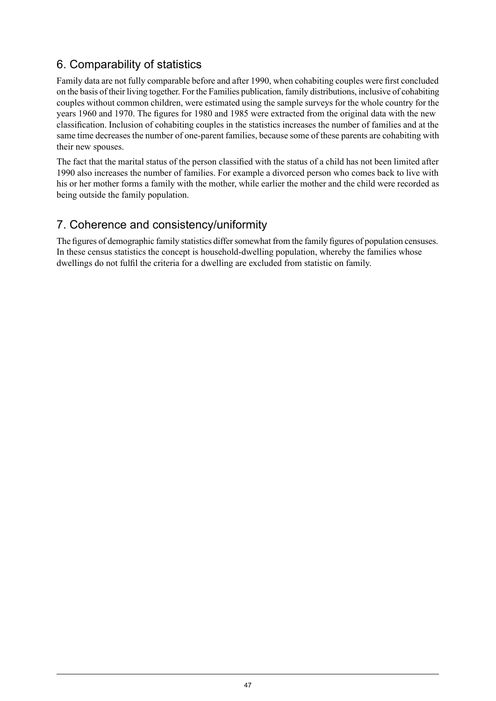## 6. Comparability of statistics

Family data are not fully comparable before and after 1990, when cohabiting couples were first concluded on the basis of their living together. For the Families publication, family distributions, inclusive of cohabiting couples without common children, were estimated using the sample surveys for the whole country for the years 1960 and 1970. The figures for 1980 and 1985 were extracted from the original data with the new classification. Inclusion of cohabiting couples in the statistics increases the number of families and at the same time decreases the number of one-parent families, because some of these parents are cohabiting with their new spouses.

The fact that the marital status of the person classified with the status of a child has not been limited after 1990 also increases the number of families. For example a divorced person who comes back to live with his or her mother forms a family with the mother, while earlier the mother and the child were recorded as being outside the family population.

### 7. Coherence and consistency/uniformity

The figures of demographic family statistics differ somewhat from the family figures of population censuses. In these census statistics the concept is household-dwelling population, whereby the families whose dwellings do not fulfil the criteria for a dwelling are excluded from statistic on family.